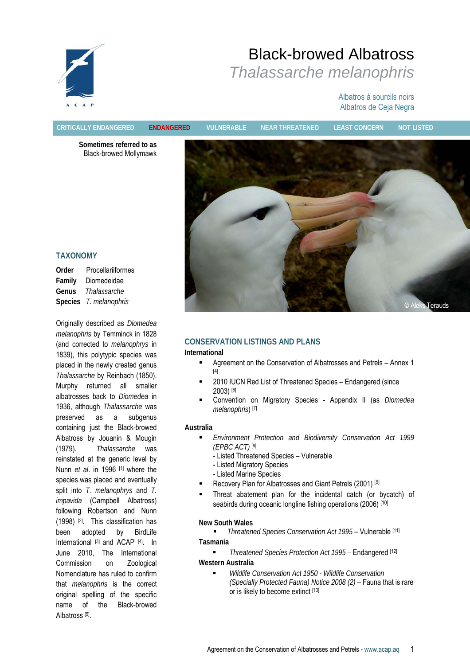

# Albatros à sourcils noirs Albatros de Ceja Negra

**CRITICALLY ENDANGERED ENDANGERED VULNERABLE NEAR THREATENED LEAST CONCERN NOT LISTED**

**Sometimes referred to as**  Black-browed Mollymawk



# **TAXONOMY**

**Order** Procellariiformes **Family** Diomedeidae **Genus** *Thalassarche*  **Species** *T. melanophris*

Originally described as *Diomedea melanophris* by Temminck in 1828 (and corrected to *melanophrys* in 1839), this polytypic species was placed in the newly created genus *Thalassarche* by Reinbach (1850). Murphy returned all smaller albatrosses back to *Diomedea* in 1936, although *Thalassarche* was preserved as a subgenus containing just the Black-browed Albatross by Jouanin & Mougin (1979). *Thalassarche* was reinstated at the generic level by Nunn *et al*. in 1996 [1] where the species was placed and eventually split into *T. melanophrys* and *T. impavida* (Campbell Albatross) following Robertson and Nunn (1998) [2]. This classification has been adopted by BirdLife International [3] and ACAP [4]. In June 2010, The International Commission on Zoological Nomenclature has ruled to confirm that *melanophris* is the correct original spelling of the specific name of the Black-browed Albatross<sup>[5]</sup>.

# **CONSERVATION LISTINGS AND PLANS**

#### **International**

- Agreement on the Conservation of Albatrosses and Petrels Annex 1 [4]
- 2010 IUCN Red List of Threatened Species Endangered (since 2003) [6]
- Convention on Migratory Species Appendix II (as *Diomedea melanophris*) [7]

#### **Australia**

- *Environment Protection and Biodiversity Conservation Act 1999 (EPBC ACT)* [8]
	- Listed Threatened Species Vulnerable
	- Listed Migratory Species
	- Listed Marine Species
- Recovery Plan for Albatrosses and Giant Petrels (2001) [9]
- Threat abatement plan for the incidental catch (or bycatch) of seabirds during oceanic longline fishing operations (2006) [10]

#### **New South Wales**

**FILE** *Threatened Species Conservation Act 1995* – Vulnerable [11] **Tasmania** 

#### *Threatened Species Protection Act 1995* – Endangered [12] **Western Australia**

 *Wildlife Conservation Act 1950 - Wildlife Conservation (Specially Protected Fauna) Notice 2008 (2) –* Fauna that is rare or is likely to become extinct [13]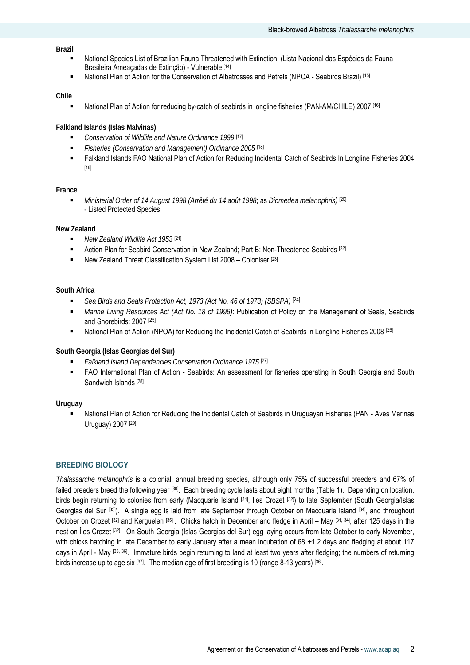#### **Brazil**

- National Species List of Brazilian Fauna Threatened with Extinction (Lista Nacional das Espécies da Fauna Brasileira Ameaçadas de Extinção) - Vulnerable [14]
- National Plan of Action for the Conservation of Albatrosses and Petrels (NPOA Seabirds Brazil) [15]

#### **Chile**

National Plan of Action for reducing by-catch of seabirds in longline fisheries (PAN-AM/CHILE) 2007 [16]

#### **Falkland Islands (Islas Malvinas)**

- *Conservation of Wildlife and Nature Ordinance 1999* [17]
- *Fisheries (Conservation and Management) Ordinance 2005* [18]
- Falkland Islands FAO National Plan of Action for Reducing Incidental Catch of Seabirds In Longline Fisheries 2004 [19]

#### **France**

 *Ministerial Order of 14 August 1998 (Arrêté du 14 août 1998*; as *Diomedea melanophris)* [20] - Listed Protected Species

#### **New Zealand**

- *New Zealand Wildlife Act 1953* [21]
- Action Plan for Seabird Conservation in New Zealand; Part B: Non-Threatened Seabirds [22]
- New Zealand Threat Classification System List 2008 Coloniser [23]

#### **South Africa**

- *Sea Birds and Seals Protection Act, 1973 (Act No. 46 of 1973) (SBSPA)* [24]
- *Marine Living Resources Act (Act No. 18 of 1996)*: Publication of Policy on the Management of Seals, Seabirds and Shorebirds: 2007 [25]
- National Plan of Action (NPOA) for Reducing the Incidental Catch of Seabirds in Longline Fisheries 2008<sup>[26]</sup>

# **South Georgia (Islas Georgias del Sur)**

- *Falkland Island Dependencies Conservation Ordinance 1975* [27]
- FAO International Plan of Action Seabirds: An assessment for fisheries operating in South Georgia and South Sandwich Islands [28]

#### **Uruguay**

 National Plan of Action for Reducing the Incidental Catch of Seabirds in Uruguayan Fisheries (PAN - Aves Marinas Uruguay) 2007 [29]

# **BREEDING BIOLOGY**

*Thalassarche melanophris* is a colonial, annual breeding species, although only 75% of successful breeders and 67% of failed breeders breed the following year <sup>[30]</sup>. Each breeding cycle lasts about eight months (Table 1). Depending on location, birds begin returning to colonies from early (Macquarie Island [31], Iles Crozet [32]) to late September (South Georgia/Islas Georgias del Sur [33]). A single egg is laid from late September through October on Macquarie Island [34], and throughout October on Crozet [32] and Kerguelen [35]. Chicks hatch in December and fledge in April – May [31, 34], after 125 days in the nest on Îles Crozet [32]. On South Georgia (Islas Georgias del Sur) egg laying occurs from late October to early November, with chicks hatching in late December to early January after a mean incubation of 68  $\pm$ 1.2 days and fledging at about 117 days in April - May [33, 36]. Immature birds begin returning to land at least two years after fledging; the numbers of returning birds increase up to age six [37]. The median age of first breeding is 10 (range 8-13 years) [36].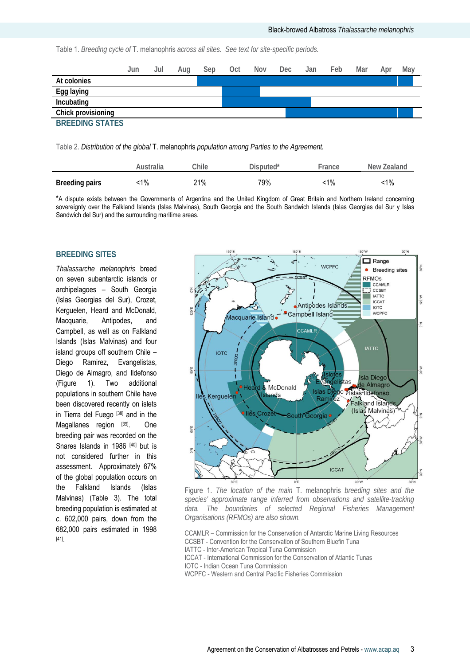Table 1. *Breeding cycle of* T. melanophris *across all sites. See text for site-specific periods.* 

|                        | Jun | Jul | Aug | Sep | Oct | Nov | Dec | Jan | Feb | Mar | Apr | May |
|------------------------|-----|-----|-----|-----|-----|-----|-----|-----|-----|-----|-----|-----|
| At colonies            |     |     |     |     |     |     |     |     |     |     |     |     |
| Egg laying             |     |     |     |     |     |     |     |     |     |     |     |     |
| Incubating             |     |     |     |     |     |     |     |     |     |     |     |     |
| Chick provisioning     |     |     |     |     |     |     |     |     |     |     |     |     |
| <b>BREEDING STATES</b> |     |     |     |     |     |     |     |     |     |     |     |     |

Table 2. *Distribution of the global* T. melanophris *population among Parties to the Agreement.*

|                       | Australia | Chile | Disputed* | France | New Zealand |
|-----------------------|-----------|-------|-----------|--------|-------------|
| <b>Breeding pairs</b> | ີ 1%      | 21%   | 79%       | $-1\%$ | :1%         |

\*A dispute exists between the Governments of Argentina and the United Kingdom of Great Britain and Northern Ireland concerning sovereignty over the Falkland Islands (Islas Malvinas), South Georgia and the South Sandwich Islands (Islas Georgias del Sur y Islas Sandwich del Sur) and the surrounding maritime areas.

# **BREEDING SITES**

*Thalassarche melanophris* breed on seven subantarctic islands or archipelagoes – South Georgia (Islas Georgias del Sur), Crozet, Kerguelen, Heard and McDonald, Macquarie, Antipodes, and Campbell, as well as on Falkland Islands (Islas Malvinas) and four island groups off southern Chile – Diego Ramirez, Evangelistas, Diego de Almagro, and Ildefonso (Figure 1). Two additional populations in southern Chile have been discovered recently on islets in Tierra del Fuego [38] and in the Magallanes region [39]. One breeding pair was recorded on the Snares Islands in 1986 [40] but is not considered further in this assessment. Approximately 67% of the global population occurs on the Falkland Islands (Islas Malvinas) (Table 3). The total breeding population is estimated at *c*. 602,000 pairs, down from the 682,000 pairs estimated in 1998 [41].



Figure 1. *The location of the main* T. melanophris *breeding sites and the species' approximate range inferred from observations and satellite-tracking data. The boundaries of selected Regional Fisheries Management Organisations (RFMOs) are also shown.* 

CCAMLR – Commission for the Conservation of Antarctic Marine Living Resources CCSBT - Convention for the Conservation of Southern Bluefin Tuna IATTC - Inter-American Tropical Tuna Commission ICCAT - International Commission for the Conservation of Atlantic Tunas IOTC - Indian Ocean Tuna Commission WCPFC - Western and Central Pacific Fisheries Commission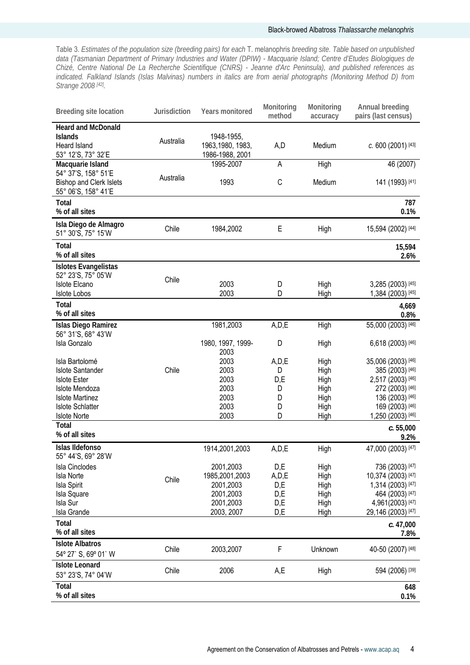Table 3. *Estimates of the population size (breeding pairs) for each* T. melanophris *breeding site. Table based on unpublished data (Tasmanian Department of Primary Industries and Water (DPIW) - Macquarie Island; Centre d'Etudes Biologiques de Chizé, Centre National De La Recherche Scientifique (CNRS) - Jeanne d'Arc Peninsula), and published references as indicated. Falkland Islands (Islas Malvinas) numbers in italics are from aerial photographs (Monitoring Method D) from Strange 2008 [42].* 

| <b>Breeding site location</b>                                                     | Jurisdiction | Years monitored                                    | Monitoring<br>method | Monitoring<br>accuracy | Annual breeding<br>pairs (last census) |
|-----------------------------------------------------------------------------------|--------------|----------------------------------------------------|----------------------|------------------------|----------------------------------------|
| <b>Heard and McDonald</b><br><b>Islands</b><br>Heard Island<br>53° 12'S, 73° 32'E | Australia    | 1948-1955,<br>1963, 1980, 1983,<br>1986-1988, 2001 | A,D                  | Medium                 | $c. 600$ (2001) [43]                   |
| Macquarie Island                                                                  |              | 1995-2007                                          | A                    | High                   | 46 (2007)                              |
| 54° 37'S, 158° 51'E<br><b>Bishop and Clerk Islets</b><br>55° 06'S, 158° 41'E      | Australia    | 1993                                               | C                    | Medium                 | 141 (1993) [41]                        |
| Total<br>% of all sites                                                           |              |                                                    |                      |                        | 787<br>0.1%                            |
| Isla Diego de Almagro<br>51° 30'S, 75° 15'W                                       | Chile        | 1984,2002                                          | E                    | High                   | 15,594 (2002) [44]                     |
| <b>Total</b><br>% of all sites                                                    |              |                                                    |                      |                        | 15,594<br>2.6%                         |
| Islotes Evangelistas                                                              |              |                                                    |                      |                        |                                        |
| 52° 23'S, 75° 05'W<br><b>Islote Elcano</b>                                        | Chile        | 2003                                               | D                    | High                   | 3,285 (2003) [45]                      |
| <b>Islote Lobos</b>                                                               |              | 2003                                               | D                    | High                   | 1,384 (2003) [45]                      |
| Total<br>% of all sites                                                           |              |                                                    |                      |                        | 4,669<br>0.8%                          |
| Islas Diego Ramirez                                                               |              | 1981,2003                                          | A, D, E              | High                   | 55,000 (2003) [46]                     |
| 56° 31'S, 68° 43'W<br>Isla Gonzalo                                                |              | 1980, 1997, 1999-<br>2003                          | D                    | High                   | 6,618 (2003) [46]                      |
| Isla Bartolomé                                                                    |              | 2003                                               | A, D, E              | High                   | 35,006 (2003) [46]                     |
| <b>Islote Santander</b>                                                           | Chile        | 2003                                               | D                    | High                   | 385 (2003) [46]                        |
| <b>Islote Ester</b>                                                               |              | 2003                                               | D,E                  | High                   | 2,517 (2003) [46]                      |
| Islote Mendoza                                                                    |              | 2003                                               | D                    | High                   | 272 (2003) [46]                        |
| <b>Islote Martinez</b>                                                            |              | 2003                                               | D                    | High                   | 136 (2003) [46]                        |
| <b>Islote Schlatter</b><br><b>Islote Norte</b>                                    |              | 2003<br>2003                                       | D<br>D               | High                   | 169 (2003) [46]<br>1,250 (2003) [46]   |
| Total                                                                             |              |                                                    |                      | High                   |                                        |
| % of all sites                                                                    |              |                                                    |                      |                        | c.55,000<br>9.2%                       |
| Islas Ildefonso<br>55° 44'S, 69° 28'W                                             |              | 1914,2001,2003                                     | A, D, E              | High                   | 47,000 (2003) [47]                     |
| <b>Isla Cinclodes</b>                                                             |              | 2001,2003                                          | D,E                  | High                   | 736 (2003) [47]                        |
| <b>Isla Norte</b>                                                                 | Chile        | 1985,2001,2003                                     | A, D, E              | High                   | 10,374 (2003) [47]                     |
| Isla Spirit                                                                       |              | 2001,2003                                          | D,E                  | High                   | 1,314 (2003) [47]                      |
| Isla Square                                                                       |              | 2001,2003                                          | D,E                  | High                   | 464 (2003) [47]                        |
| Isla Sur                                                                          |              | 2001,2003                                          | D,E                  | High                   | 4,961(2003) [47]                       |
| Isla Grande                                                                       |              | 2003, 2007                                         | D,E                  | High                   | 29,146 (2003) [47]                     |
| Total<br>% of all sites                                                           |              |                                                    |                      |                        | c.47,000<br>7.8%                       |
| <b>Islote Albatros</b><br>54° 27' S, 69° 01' W                                    | Chile        | 2003,2007                                          | F                    | Unknown                | 40-50 (2007) [48]                      |
| <b>Islote Leonard</b><br>53° 23'S, 74° 04'W                                       | Chile        | 2006                                               | A,E                  | High                   | 594 (2006) [39]                        |
| Total<br>% of all sites                                                           |              |                                                    |                      |                        | 648<br>0.1%                            |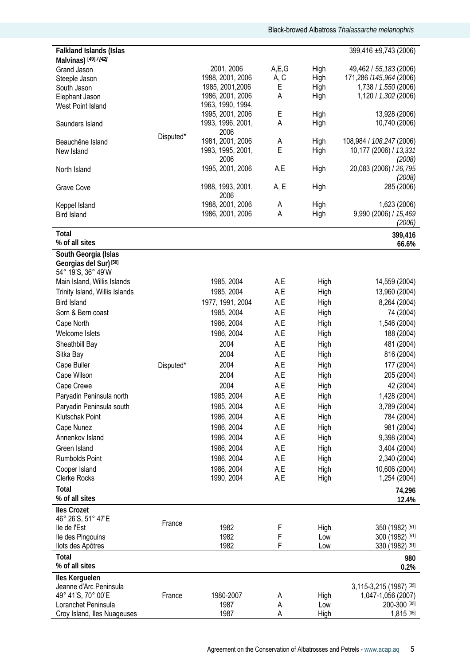| Malvinas) [49] / [42]<br>2001, 2006<br>A, E, G<br>High<br>Grand Jason<br>1988, 2001, 2006<br>A, C<br>High<br>Steeple Jason<br>1985, 2001, 2006<br>High<br>Ε<br>South Jason<br>1986, 2001, 2006<br>Α<br>High<br>Elephant Jason<br>1963, 1990, 1994,<br>West Point Island<br>E<br>1995, 2001, 2006<br>High<br>1993, 1996, 2001,<br>Α<br>High<br>Saunders Island<br>2006<br>Disputed*<br>1981, 2001, 2006<br>Α<br>High<br>Beauchêne Island<br>E<br>1993, 1995, 2001,<br>High<br>New Island<br>2006<br>1995, 2001, 2006<br>A,E<br>High<br>North Island<br>1988, 1993, 2001,<br>A, E<br>High<br>Grave Cove<br>2006<br>1988, 2001, 2006<br>Α<br>High<br>Keppel Island<br>1986, 2001, 2006<br>A<br>High<br><b>Bird Island</b><br>Total<br>% of all sites | 49,462 / 55,183 (2006)<br>171,286 / 145, 964 (2006)<br>1,738 / 1,550 (2006)<br>1,120 / 1,302 (2006)<br>13,928 (2006)<br>10,740 (2006)<br>108,984 / 108,247 (2006)<br>(2008)<br>20,083 (2006) / 26,795<br>(2008)<br>285 (2006)<br>1,623 (2006)<br>9,990 (2006) / 15,469<br>(2006)<br>399,416 |
|---------------------------------------------------------------------------------------------------------------------------------------------------------------------------------------------------------------------------------------------------------------------------------------------------------------------------------------------------------------------------------------------------------------------------------------------------------------------------------------------------------------------------------------------------------------------------------------------------------------------------------------------------------------------------------------------------------------------------------------------------|---------------------------------------------------------------------------------------------------------------------------------------------------------------------------------------------------------------------------------------------------------------------------------------------|
|                                                                                                                                                                                                                                                                                                                                                                                                                                                                                                                                                                                                                                                                                                                                                   |                                                                                                                                                                                                                                                                                             |
|                                                                                                                                                                                                                                                                                                                                                                                                                                                                                                                                                                                                                                                                                                                                                   | 10,177 (2006) / 13,331                                                                                                                                                                                                                                                                      |
|                                                                                                                                                                                                                                                                                                                                                                                                                                                                                                                                                                                                                                                                                                                                                   |                                                                                                                                                                                                                                                                                             |
|                                                                                                                                                                                                                                                                                                                                                                                                                                                                                                                                                                                                                                                                                                                                                   |                                                                                                                                                                                                                                                                                             |
|                                                                                                                                                                                                                                                                                                                                                                                                                                                                                                                                                                                                                                                                                                                                                   |                                                                                                                                                                                                                                                                                             |
|                                                                                                                                                                                                                                                                                                                                                                                                                                                                                                                                                                                                                                                                                                                                                   |                                                                                                                                                                                                                                                                                             |
|                                                                                                                                                                                                                                                                                                                                                                                                                                                                                                                                                                                                                                                                                                                                                   |                                                                                                                                                                                                                                                                                             |
|                                                                                                                                                                                                                                                                                                                                                                                                                                                                                                                                                                                                                                                                                                                                                   |                                                                                                                                                                                                                                                                                             |
|                                                                                                                                                                                                                                                                                                                                                                                                                                                                                                                                                                                                                                                                                                                                                   |                                                                                                                                                                                                                                                                                             |
|                                                                                                                                                                                                                                                                                                                                                                                                                                                                                                                                                                                                                                                                                                                                                   |                                                                                                                                                                                                                                                                                             |
|                                                                                                                                                                                                                                                                                                                                                                                                                                                                                                                                                                                                                                                                                                                                                   |                                                                                                                                                                                                                                                                                             |
|                                                                                                                                                                                                                                                                                                                                                                                                                                                                                                                                                                                                                                                                                                                                                   |                                                                                                                                                                                                                                                                                             |
|                                                                                                                                                                                                                                                                                                                                                                                                                                                                                                                                                                                                                                                                                                                                                   |                                                                                                                                                                                                                                                                                             |
|                                                                                                                                                                                                                                                                                                                                                                                                                                                                                                                                                                                                                                                                                                                                                   |                                                                                                                                                                                                                                                                                             |
|                                                                                                                                                                                                                                                                                                                                                                                                                                                                                                                                                                                                                                                                                                                                                   |                                                                                                                                                                                                                                                                                             |
|                                                                                                                                                                                                                                                                                                                                                                                                                                                                                                                                                                                                                                                                                                                                                   |                                                                                                                                                                                                                                                                                             |
|                                                                                                                                                                                                                                                                                                                                                                                                                                                                                                                                                                                                                                                                                                                                                   |                                                                                                                                                                                                                                                                                             |
|                                                                                                                                                                                                                                                                                                                                                                                                                                                                                                                                                                                                                                                                                                                                                   |                                                                                                                                                                                                                                                                                             |
|                                                                                                                                                                                                                                                                                                                                                                                                                                                                                                                                                                                                                                                                                                                                                   |                                                                                                                                                                                                                                                                                             |
|                                                                                                                                                                                                                                                                                                                                                                                                                                                                                                                                                                                                                                                                                                                                                   | 66.6%                                                                                                                                                                                                                                                                                       |
| South Georgia (Islas                                                                                                                                                                                                                                                                                                                                                                                                                                                                                                                                                                                                                                                                                                                              |                                                                                                                                                                                                                                                                                             |
| Georgias del Sur) <sup>[50]</sup>                                                                                                                                                                                                                                                                                                                                                                                                                                                                                                                                                                                                                                                                                                                 |                                                                                                                                                                                                                                                                                             |
| 54° 19'S, 36° 49'W                                                                                                                                                                                                                                                                                                                                                                                                                                                                                                                                                                                                                                                                                                                                |                                                                                                                                                                                                                                                                                             |
| 1985, 2004<br>A,E<br>High<br>Main Island, Willis Islands                                                                                                                                                                                                                                                                                                                                                                                                                                                                                                                                                                                                                                                                                          | 14,559 (2004)                                                                                                                                                                                                                                                                               |
| 1985, 2004<br>A,E<br>Trinity Island, Willis Islands<br>High                                                                                                                                                                                                                                                                                                                                                                                                                                                                                                                                                                                                                                                                                       | 13,960 (2004)                                                                                                                                                                                                                                                                               |
| <b>Bird Island</b><br>1977, 1991, 2004<br>A,E<br>High                                                                                                                                                                                                                                                                                                                                                                                                                                                                                                                                                                                                                                                                                             | 8,264 (2004)                                                                                                                                                                                                                                                                                |
| 1985, 2004<br>A,E<br>Sorn & Bern coast<br>High                                                                                                                                                                                                                                                                                                                                                                                                                                                                                                                                                                                                                                                                                                    | 74 (2004)                                                                                                                                                                                                                                                                                   |
| 1986, 2004<br>A,E<br>Cape North<br>High                                                                                                                                                                                                                                                                                                                                                                                                                                                                                                                                                                                                                                                                                                           | 1,546 (2004)                                                                                                                                                                                                                                                                                |
| 1986, 2004<br>A,E<br>Welcome Islets<br>High                                                                                                                                                                                                                                                                                                                                                                                                                                                                                                                                                                                                                                                                                                       | 188 (2004)                                                                                                                                                                                                                                                                                  |
| 2004<br>A,E<br>Sheathbill Bay<br>High                                                                                                                                                                                                                                                                                                                                                                                                                                                                                                                                                                                                                                                                                                             | 481 (2004)                                                                                                                                                                                                                                                                                  |
| 2004<br>Sitka Bay<br>A,E<br>High                                                                                                                                                                                                                                                                                                                                                                                                                                                                                                                                                                                                                                                                                                                  | 816 (2004)                                                                                                                                                                                                                                                                                  |
| 2004<br>A,E<br>Cape Buller<br>High<br>Disputed*                                                                                                                                                                                                                                                                                                                                                                                                                                                                                                                                                                                                                                                                                                   | 177 (2004)                                                                                                                                                                                                                                                                                  |
| 2004<br>A,E<br>Cape Wilson<br>High                                                                                                                                                                                                                                                                                                                                                                                                                                                                                                                                                                                                                                                                                                                | 205 (2004)                                                                                                                                                                                                                                                                                  |
| 2004<br>A,E                                                                                                                                                                                                                                                                                                                                                                                                                                                                                                                                                                                                                                                                                                                                       |                                                                                                                                                                                                                                                                                             |
| Cape Crewe<br>High                                                                                                                                                                                                                                                                                                                                                                                                                                                                                                                                                                                                                                                                                                                                | 42 (2004)                                                                                                                                                                                                                                                                                   |
| A,E<br>1985, 2004<br>Paryadin Peninsula north<br>High                                                                                                                                                                                                                                                                                                                                                                                                                                                                                                                                                                                                                                                                                             | 1,428 (2004)                                                                                                                                                                                                                                                                                |
| Paryadin Peninsula south<br>1985, 2004<br>A,E<br>High                                                                                                                                                                                                                                                                                                                                                                                                                                                                                                                                                                                                                                                                                             | 3,789 (2004)                                                                                                                                                                                                                                                                                |
| 1986, 2004<br>A,E<br>Klutschak Point<br>High                                                                                                                                                                                                                                                                                                                                                                                                                                                                                                                                                                                                                                                                                                      | 784 (2004)                                                                                                                                                                                                                                                                                  |
| 1986, 2004<br>A,E<br>Cape Nunez<br>High                                                                                                                                                                                                                                                                                                                                                                                                                                                                                                                                                                                                                                                                                                           | 981 (2004)                                                                                                                                                                                                                                                                                  |
| 1986, 2004<br>A,E<br>Annenkov Island<br>High                                                                                                                                                                                                                                                                                                                                                                                                                                                                                                                                                                                                                                                                                                      | 9,398 (2004)                                                                                                                                                                                                                                                                                |
| Green Island<br>1986, 2004<br>A,E<br>High                                                                                                                                                                                                                                                                                                                                                                                                                                                                                                                                                                                                                                                                                                         | 3,404 (2004)                                                                                                                                                                                                                                                                                |
| 1986, 2004<br>A,E<br>Rumbolds Point<br>High                                                                                                                                                                                                                                                                                                                                                                                                                                                                                                                                                                                                                                                                                                       | 2,340 (2004)                                                                                                                                                                                                                                                                                |
| 1986, 2004<br>A,E<br>Cooper Island<br>High                                                                                                                                                                                                                                                                                                                                                                                                                                                                                                                                                                                                                                                                                                        | 10,606 (2004)                                                                                                                                                                                                                                                                               |
| Clerke Rocks<br>1990, 2004<br>A,E<br>High                                                                                                                                                                                                                                                                                                                                                                                                                                                                                                                                                                                                                                                                                                         | 1,254 (2004)                                                                                                                                                                                                                                                                                |
| Total                                                                                                                                                                                                                                                                                                                                                                                                                                                                                                                                                                                                                                                                                                                                             | 74,296                                                                                                                                                                                                                                                                                      |
| % of all sites                                                                                                                                                                                                                                                                                                                                                                                                                                                                                                                                                                                                                                                                                                                                    | 12.4%                                                                                                                                                                                                                                                                                       |
| <b>Iles Crozet</b>                                                                                                                                                                                                                                                                                                                                                                                                                                                                                                                                                                                                                                                                                                                                |                                                                                                                                                                                                                                                                                             |
| 46° 26'S, 51° 47'E                                                                                                                                                                                                                                                                                                                                                                                                                                                                                                                                                                                                                                                                                                                                |                                                                                                                                                                                                                                                                                             |
| France<br>1982<br>F<br>lle de l'Est<br>High                                                                                                                                                                                                                                                                                                                                                                                                                                                                                                                                                                                                                                                                                                       | 350 (1982) [51]                                                                                                                                                                                                                                                                             |
| F<br>1982<br>lle des Pingouins<br>Low                                                                                                                                                                                                                                                                                                                                                                                                                                                                                                                                                                                                                                                                                                             | 300 (1982) [51]                                                                                                                                                                                                                                                                             |
| F<br>1982<br>llots des Apôtres<br>Low                                                                                                                                                                                                                                                                                                                                                                                                                                                                                                                                                                                                                                                                                                             | 330 (1982) [51]                                                                                                                                                                                                                                                                             |
| Total                                                                                                                                                                                                                                                                                                                                                                                                                                                                                                                                                                                                                                                                                                                                             | 980                                                                                                                                                                                                                                                                                         |
| % of all sites                                                                                                                                                                                                                                                                                                                                                                                                                                                                                                                                                                                                                                                                                                                                    | 0.2%                                                                                                                                                                                                                                                                                        |
| Iles Kerguelen                                                                                                                                                                                                                                                                                                                                                                                                                                                                                                                                                                                                                                                                                                                                    |                                                                                                                                                                                                                                                                                             |
| Jeanne d'Arc Peninsula                                                                                                                                                                                                                                                                                                                                                                                                                                                                                                                                                                                                                                                                                                                            | 3,115-3,215 (1987) [35]                                                                                                                                                                                                                                                                     |
| 49° 41'S, 70° 00'E<br>1980-2007<br>France<br>High<br>A                                                                                                                                                                                                                                                                                                                                                                                                                                                                                                                                                                                                                                                                                            | 1,047-1,056 (2007)                                                                                                                                                                                                                                                                          |
| 1987<br>Loranchet Peninsula<br>Α<br>Low                                                                                                                                                                                                                                                                                                                                                                                                                                                                                                                                                                                                                                                                                                           | 200-300 [35]                                                                                                                                                                                                                                                                                |
| 1987<br>Croy Island, Iles Nuageuses<br>Α<br>High                                                                                                                                                                                                                                                                                                                                                                                                                                                                                                                                                                                                                                                                                                  | 1,815 [35]                                                                                                                                                                                                                                                                                  |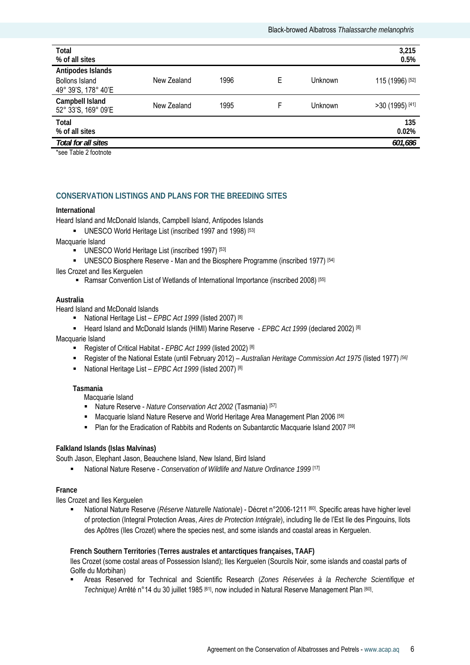| Total                                      |             |      |   |         | 3,215           |
|--------------------------------------------|-------------|------|---|---------|-----------------|
| % of all sites                             |             |      |   |         | 0.5%            |
| Antipodes Islands<br><b>Bollons Island</b> | New Zealand | 1996 | E | Unknown | 115 (1996) [52] |
| 49° 39'S, 178° 40'E                        |             |      |   |         |                 |
| Campbell Island<br>52° 33'S, 169° 09'E     | New Zealand | 1995 | F | Unknown | >30 (1995) [41] |
| Total                                      |             |      |   |         | 135             |
|                                            |             |      |   |         |                 |
| % of all sites                             |             |      |   |         | 0.02%           |
| Total for all sites                        |             |      |   |         | 601,686         |
|                                            |             |      |   |         |                 |

\*see Table 2 footnote

# **CONSERVATION LISTINGS AND PLANS FOR THE BREEDING SITES**

#### **International**

Heard Island and McDonald Islands, Campbell Island, Antipodes Islands

UNESCO World Heritage List (inscribed 1997 and 1998) [53]

Macquarie Island

- UNESCO World Heritage List (inscribed 1997) [53]
- UNESCO Biosphere Reserve Man and the Biosphere Programme (inscribed 1977) [54]

#### Iles Crozet and Iles Kerguelen

• Ramsar Convention List of Wetlands of International Importance (inscribed 2008)<sup>[55]</sup>

#### **Australia**

Heard Island and McDonald Islands

- National Heritage List *EPBC Act 1999* (listed 2007) [8]
- Heard Island and McDonald Islands (HIMI) Marine Reserve  *EPBC Act 1999* (declared 2002) [8]

Macquarie Island

- Register of Critical Habitat *EPBC Act 1999* (listed 2002) [8]
- Register of the National Estate (until February 2012) *Australian Heritage Commission Act 1975* (listed 1977) *[56]*
- National Heritage List *EPBC Act 1999* (listed 2007) [8]

**Tasmania** 

Macquarie Island

- Nature Reserve *Nature Conservation Act 2002* (Tasmania) [57]
- **Macquarie Island Nature Reserve and World Heritage Area Management Plan 2006** [58]
- **Plan for the Eradication of Rabbits and Rodents on Subantarctic Macquarie Island 2007** [59]

#### **Falkland Islands (Islas Malvinas)**

South Jason, Elephant Jason, Beauchene Island, New Island, Bird Island

National Nature Reserve - *Conservation of Wildlife and Nature Ordinance 1999* [17]

#### **France**

Iles Crozet and Iles Kerguelen

 National Nature Reserve (*Réserve Naturelle Nationale*) - Décret n°2006-1211 [60]. Specific areas have higher level of protection (Integral Protection Areas, *Aires de Protection Intégrale*), including Ile de l'Est Ile des Pingouins, Ilots des Apôtres (Iles Crozet) where the species nest, and some islands and coastal areas in Kerguelen.

**French Southern Territories** (**Terres australes et antarctiques françaises, TAAF)** 

Iles Crozet (some costal areas of Possession Island); Iles Kerguelen (Sourcils Noir, some islands and coastal parts of Golfe du Morbihan)

 Areas Reserved for Technical and Scientific Research (*Zones Réservées à la Recherche Scientifique et Technique)* Arrêté n°14 du 30 juillet 1985 [61], now included in Natural Reserve Management Plan [60].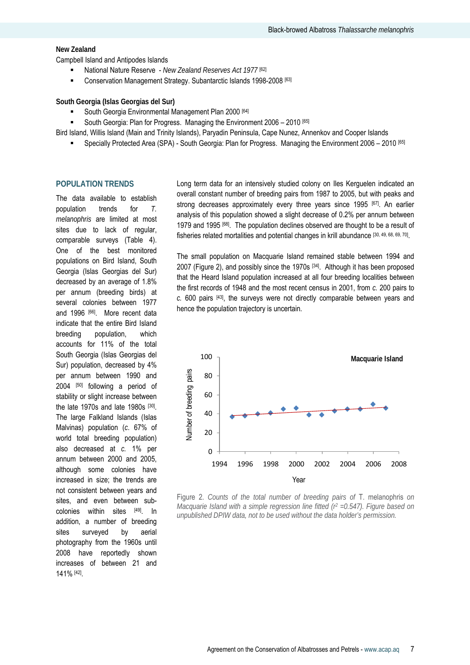#### **New Zealand**

Campbell Island and Antipodes Islands

- National Nature Reserve *New Zealand Reserves Act 1977* [62]
- Conservation Management Strategy. Subantarctic Islands 1998-2008 [63]

**South Georgia (Islas Georgias del Sur)** 

- South Georgia Environmental Management Plan 2000 [64]
- South Georgia: Plan for Progress. Managing the Environment 2006 2010 [65]
- Bird Island, Willis Island (Main and Trinity Islands), Paryadin Peninsula, Cape Nunez, Annenkov and Cooper Islands
	- Specially Protected Area (SPA) South Georgia: Plan for Progress. Managing the Environment 2006 2010 [65]

#### **POPULATION TRENDS**

The data available to establish population trends for *T. melanophris* are limited at most sites due to lack of regular, comparable surveys (Table 4). One of the best monitored populations on Bird Island, South Georgia (Islas Georgias del Sur) decreased by an average of 1.8% per annum (breeding birds) at several colonies between 1977 and 1996 [66]. More recent data indicate that the entire Bird Island breeding population, which accounts for 11% of the total South Georgia (Islas Georgias del Sur) population, decreased by 4% per annum between 1990 and 2004 [50] following a period of stability or slight increase between the late 1970s and late 1980s [30]. The large Falkland Islands (Islas Malvinas) population (*c*. 67% of world total breeding population) also decreased at *c.* 1% per annum between 2000 and 2005, although some colonies have increased in size; the trends are not consistent between years and sites, and even between subcolonies within sites [49]. In addition, a number of breeding sites surveyed by aerial photography from the 1960s until 2008 have reportedly shown increases of between 21 and 141% [42].

Long term data for an intensively studied colony on Iles Kerguelen indicated an overall constant number of breeding pairs from 1987 to 2005, but with peaks and strong decreases approximately every three years since 1995 [67]. An earlier analysis of this population showed a slight decrease of 0.2% per annum between 1979 and 1995 [68]. The population declines observed are thought to be a result of fisheries related mortalities and potential changes in krill abundance [30, 49, 68, 69, 70].

The small population on Macquarie Island remained stable between 1994 and 2007 (Figure 2), and possibly since the 1970s [34]. Although it has been proposed that the Heard Island population increased at all four breeding localities between the first records of 1948 and the most recent census in 2001, from *c.* 200 pairs to *c.* 600 pairs [43], the surveys were not directly comparable between years and hence the population trajectory is uncertain.



Figure 2. *Counts of the total number of breeding pairs of* T. melanophris *on Macquarie Island with a simple regression line fitted (r<sup>2</sup> =0.547). Figure based on unpublished DPIW data, not to be used without the data holder's permission.*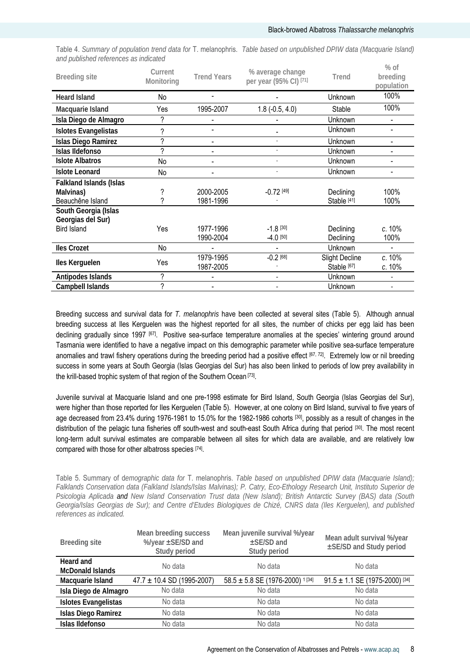Table 4. *Summary of population trend data for* T. melanophris. *Table based on unpublished DPIW data (Macquarie Island) and published references as indicated*   $\alpha$  *c* 

| <b>Breeding site</b>                      | Current<br>Monitoring | <b>Trend Years</b> | % average change<br>per year (95% CI) [71] | Trend                  | 70 UI<br>breeding<br>population |
|-------------------------------------------|-----------------------|--------------------|--------------------------------------------|------------------------|---------------------------------|
| <b>Heard Island</b>                       | No                    |                    |                                            | Unknown                | 100%                            |
| Macquarie Island                          | Yes                   | 1995-2007          | $1.8(-0.5, 4.0)$                           | Stable                 | 100%                            |
| Isla Diego de Almagro                     | ?                     |                    |                                            | Unknown                |                                 |
| <b>Islotes Evangelistas</b>               | ?                     |                    |                                            | Unknown                |                                 |
| <b>Islas Diego Ramirez</b>                | ?                     |                    | ÷                                          | Unknown                |                                 |
| Islas Ildefonso                           | 2                     |                    |                                            | Unknown                |                                 |
| <b>Islote Albatros</b>                    | No                    |                    |                                            | Unknown                |                                 |
| <b>Islote Leonard</b>                     | No                    |                    |                                            | Unknown                |                                 |
| <b>Falkland Islands (Islas</b>            |                       |                    |                                            |                        |                                 |
| Malvinas)                                 |                       | 2000-2005          | $-0.72$ [49]                               | Declining              | 100%                            |
| Beauchêne Island                          | 2                     | 1981-1996          |                                            | Stable [41]            | 100%                            |
| South Georgia (Islas<br>Georgias del Sur) |                       |                    |                                            |                        |                                 |
| <b>Bird Island</b>                        | Yes                   | 1977-1996          | $-1.8$ [30]                                | Declining              | c. 10%                          |
|                                           |                       | 1990-2004          | $-4.0$ [50]                                | Declining              | 100%                            |
| <b>Iles Crozet</b>                        | No                    |                    |                                            | Unknown                |                                 |
| Iles Kerguelen                            | Yes                   | 1979-1995          | $-0.2$ [68]                                | <b>Slight Decline</b>  | c. 10%                          |
|                                           |                       | 1987-2005          |                                            | Stable <sup>[67]</sup> | c. 10%                          |
| Antipodes Islands                         | ?                     |                    |                                            | Unknown                |                                 |
| Campbell Islands                          | ?                     |                    |                                            | Unknown                | $\overline{\phantom{0}}$        |

Breeding success and survival data for *T. melanophris* have been collected at several sites (Table 5). Although annual breeding success at Iles Kerguelen was the highest reported for all sites, the number of chicks per egg laid has been declining gradually since 1997 [67]. Positive sea-surface temperature anomalies at the species' wintering ground around Tasmania were identified to have a negative impact on this demographic parameter while positive sea-surface temperature anomalies and trawl fishery operations during the breeding period had a positive effect [67, 72]. Extremely low or nil breeding success in some years at South Georgia (Islas Georgias del Sur) has also been linked to periods of low prey availability in the krill-based trophic system of that region of the Southern Ocean [73].

Juvenile survival at Macquarie Island and one pre-1998 estimate for Bird Island, South Georgia (Islas Georgias del Sur), were higher than those reported for Iles Kerguelen (Table 5). However, at one colony on Bird Island, survival to five years of age decreased from 23.4% during 1976-1981 to 15.0% for the 1982-1986 cohorts [30], possibly as a result of changes in the distribution of the pelagic tuna fisheries off south-west and south-east South Africa during that period [30]. The most recent long-term adult survival estimates are comparable between all sites for which data are available, and are relatively low compared with those for other albatross species [74].

Table 5. Summary of d*emographic data for* T. melanophris. *Table based on unpublished DPIW data (Macquarie Island); Falklands Conservation data (Falkland Islands/Islas Malvinas); P. Catry, Eco-Ethology Research Unit, Instituto Superior de Psicologia Aplicada and New Island Conservation Trust data (New Island); British Antarctic Survey (BAS) data (South*  Georgia/Islas Georgias de Sur); and Centre d'Etudes Biologiques de Chizé, CNRS data (Iles Kerguelen), and published *references as indicated.* 

| <b>Breeding site</b>                 | Mean breeding success<br>%/year ±SE/SD and<br>Study period | Mean juvenile survival %/year<br>±SE/SD and<br>Study period | Mean adult survival %/year<br>±SE/SD and Study period |
|--------------------------------------|------------------------------------------------------------|-------------------------------------------------------------|-------------------------------------------------------|
| Heard and<br><b>McDonald Islands</b> | No data                                                    | No data                                                     | No data                                               |
| Macquarie Island                     | $47.7 \pm 10.4$ SD (1995-2007)                             | $58.5 \pm 5.8$ SE (1976-2000) <sup>1[34]</sup>              | $91.5 \pm 1.1$ SE (1975-2000) [34]                    |
| Isla Diego de Almagro                | No data                                                    | No data                                                     | No data                                               |
| Islotes Evangelistas                 | No data                                                    | No data                                                     | No data                                               |
| Islas Diego Ramirez                  | No data                                                    | No data                                                     | No data                                               |
| Islas Ildefonso                      | No data                                                    | No data                                                     | No data                                               |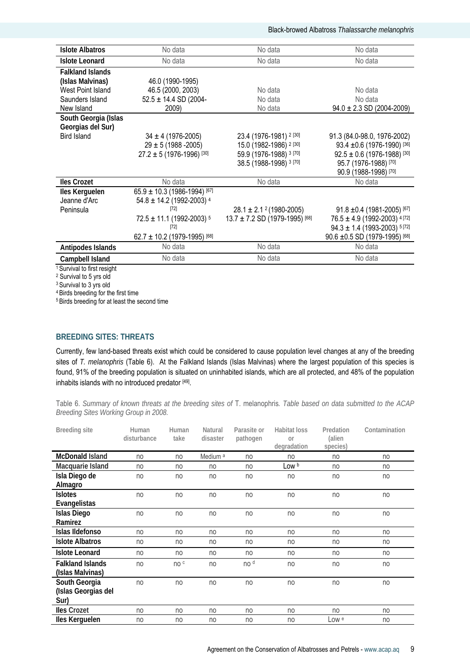| <b>Islote Albatros</b>  | No data                                  | No data                                 | No data                                      |
|-------------------------|------------------------------------------|-----------------------------------------|----------------------------------------------|
| <b>Islote Leonard</b>   | No data                                  | No data                                 | No data                                      |
| <b>Falkland Islands</b> |                                          |                                         |                                              |
| (Islas Malvinas)        | 46.0 (1990-1995)                         |                                         |                                              |
| West Point Island       | 46.5 (2000, 2003)                        | No data                                 | No data                                      |
| Saunders Island         | $52.5 \pm 14.4$ SD (2004-                | No data                                 | No data                                      |
| New Island              | 2009)                                    | No data                                 | $94.0 \pm 2.3$ SD (2004-2009)                |
| South Georgia (Islas    |                                          |                                         |                                              |
| Georgias del Sur)       |                                          |                                         |                                              |
| <b>Bird Island</b>      | $34 \pm 4 (1976 - 2005)$                 | 23.4 (1976-1981) 2 [30]                 | 91.3 (84.0-98.0, 1976-2002)                  |
|                         | $29 \pm 5 (1988 - 2005)$                 | 15.0 (1982-1986) <sup>2 [30]</sup>      | 93.4 $\pm$ 0.6 (1976-1990) <sup>[36]</sup>   |
|                         | $27.2 \pm 5 (1976 - 1996)^{[30]}$        | 59.9 (1976-1988) 3 [70]                 | $92.5 \pm 0.6$ (1976-1988) [30]              |
|                         |                                          | 38.5 (1988-1998) 3 [70]                 | 95.7 (1976-1988) [70]                        |
|                         |                                          |                                         | 90.9 (1988-1998) [70]                        |
| <b>Iles Crozet</b>      | No data                                  | No data                                 | No data                                      |
| Iles Kerguelen          | $65.9 \pm 10.3$ (1986-1994) [67]         |                                         |                                              |
| Jeanne d'Arc            | $54.8 \pm 14.2$ (1992-2003) <sup>4</sup> |                                         |                                              |
| Peninsula               | $[72]$                                   | $28.1 \pm 2.1$ <sup>2</sup> (1980-2005) | $91.8 \pm 0.4$ (1981-2005) [67]              |
|                         | $72.5 \pm 11.1$ (1992-2003) <sup>5</sup> | $13.7 \pm 7.2$ SD (1979-1995) [68]      | $76.5 \pm 4.9$ (1992-2003) 4 [72]            |
|                         | $[72]$                                   |                                         | $94.3 \pm 1.4$ (1993-2003) <sup>5 [72]</sup> |
|                         | $62.7 \pm 10.2$ (1979-1995) [68]         |                                         | $90.6 \pm 0.5$ SD (1979-1995) [68]           |
| Antipodes Islands       | No data                                  | No data                                 | No data                                      |
| Campbell Island         | No data                                  | No data                                 | No data                                      |
| $10$ $10$               |                                          |                                         |                                              |

Survival to first resight

2 Survival to 5 yrs old

<sup>3</sup> Survival to 3 yrs old

4 Birds breeding for the first time

5 Birds breeding for at least the second time

# **BREEDING SITES: THREATS**

Currently, few land-based threats exist which could be considered to cause population level changes at any of the breeding sites of *T. melanophris* (Table 6). At the Falkland Islands (Islas Malvinas) where the largest population of this species is found, 91% of the breeding population is situated on uninhabited islands, which are all protected, and 48% of the population inhabits islands with no introduced predator [49].

Table 6. *Summary of known threats at the breeding sites of* T. melanophris*. Table based on data submitted to the ACAP Breeding Sites Working Group in 2008.* 

| <b>Breeding site</b>    | Human<br>disturbance | Human<br>take | Natural<br>disaster | Parasite or<br>pathogen | <b>Habitat loss</b><br>or<br>degradation | Predation<br>(alien<br>species) | Contamination |
|-------------------------|----------------------|---------------|---------------------|-------------------------|------------------------------------------|---------------------------------|---------------|
| <b>McDonald Island</b>  | no                   | no            | Medium <sup>a</sup> | no                      | no                                       | no                              | no            |
| Macquarie Island        | no                   | no            | no                  | no                      | Low b                                    | no                              | no            |
| Isla Diego de           | no                   | no            | no                  | no                      | no                                       | no                              | no            |
| Almagro                 |                      |               |                     |                         |                                          |                                 |               |
| <b>Islotes</b>          | no                   | no            | no                  | no                      | no                                       | no                              | no            |
| Evangelistas            |                      |               |                     |                         |                                          |                                 |               |
| <b>Islas Diego</b>      | no                   | no            | no                  | no                      | no                                       | no                              | no            |
| Ramirez                 |                      |               |                     |                         |                                          |                                 |               |
| Islas Ildefonso         | no                   | no            | no                  | no                      | no                                       | no                              | no            |
| <b>Islote Albatros</b>  | no                   | no            | no                  | no                      | no                                       | no                              | no            |
| <b>Islote Leonard</b>   | no                   | no            | no                  | no                      | no                                       | no                              | no            |
| <b>Falkland Islands</b> | no                   | no c          | no                  | no <sup>d</sup>         | no                                       | no                              | no            |
| (Islas Malvinas)        |                      |               |                     |                         |                                          |                                 |               |
| South Georgia           | no                   | no            | no                  | no                      | no                                       | no                              | no            |
| (Islas Georgias del     |                      |               |                     |                         |                                          |                                 |               |
| Sur)                    |                      |               |                     |                         |                                          |                                 |               |
| <b>Iles Crozet</b>      | no                   | no            | no                  | no                      | no                                       | no                              | no            |
| Iles Kerguelen          | no                   | no            | no                  | no                      | no                                       | Low <sup>e</sup>                | no            |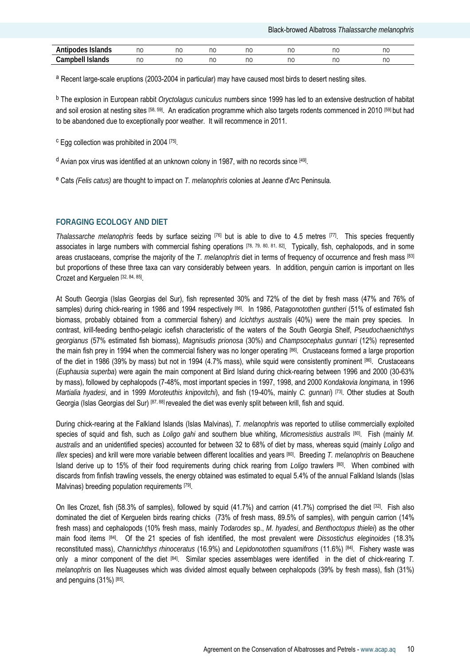| Antinodas<br>Islands<br>nш                | nc | no | no | no | no | no | n,<br>י ו |
|-------------------------------------------|----|----|----|----|----|----|-----------|
| <br>-<br>∶ampbell<br><b>Islands</b><br>Uα | nc | no | no | no | no | no | no        |

a Recent large-scale eruptions (2003-2004 in particular) may have caused most birds to desert nesting sites.

b The explosion in European rabbit *Oryctolagus cuniculus* numbers since 1999 has led to an extensive destruction of habitat and soil erosion at nesting sites [58, 59]. An eradication programme which also targets rodents commenced in 2010 [59] but had to be abandoned due to exceptionally poor weather. It will recommence in 2011.

c Egg collection was prohibited in 2004 [75].

 $d$  Avian pox virus was identified at an unknown colony in 1987, with no records since  $[49]$ .

e Cats *(Felis catus)* are thought to impact on *T. melanophris* colonies at Jeanne d'Arc Peninsula*.*

# **FORAGING ECOLOGY AND DIET**

*Thalassarche melanophris* feeds by surface seizing [76] but is able to dive to 4.5 metres [77]. This species frequently associates in large numbers with commercial fishing operations [78, 79, 80, 81, 82]. Typically, fish, cephalopods, and in some areas crustaceans, comprise the majority of the *T. melanophris* diet in terms of frequency of occurrence and fresh mass [83] but proportions of these three taxa can vary considerably between years. In addition, penguin carrion is important on Iles Crozet and Kerguelen [32, 84, 85].

At South Georgia (Islas Georgias del Sur), fish represented 30% and 72% of the diet by fresh mass (47% and 76% of samples) during chick-rearing in 1986 and 1994 respectively [86]. In 1986, *Patagonotothen guntheri* (51% of estimated fish biomass, probably obtained from a commercial fishery) and *Icichthys australis* (40%) were the main prey species*.* In contrast, krill-feeding bentho-pelagic icefish characteristic of the waters of the South Georgia Shelf, *Pseudochaenichthys georgianus* (57% estimated fish biomass), *Magnisudis prionosa* (30%) and *Champsocephalus gunnari* (12%) represented the main fish prey in 1994 when the commercial fishery was no longer operating [86]. Crustaceans formed a large proportion of the diet in 1986 (39% by mass) but not in 1994 (4.7% mass), while squid were consistently prominent [86]. Crustaceans (*Euphausia superba*) were again the main component at Bird Island during chick-rearing between 1996 and 2000 (30-63% by mass), followed by cephalopods (7-48%, most important species in 1997, 1998, and 2000 *Kondakovia longimana,* in 1996 *Martialia hyadesi*, and in 1999 *Moroteuthis knipovitchi*), and fish (19-40%, mainly *C. gunnari*) [73]. Other studies at South Georgia (Islas Georgias del Sur) [87, 88] revealed the diet was evenly split between krill, fish and squid.

During chick-rearing at the Falkland Islands (Islas Malvinas), *T. melanophris* was reported to utilise commercially exploited species of squid and fish, such as *Loligo gahi* and southern blue whiting, *Micromesistius australis* [80]. Fish (mainly *M. australis* and an unidentified species) accounted for between 32 to 68% of diet by mass, whereas squid (mainly *Loligo* and *Illex* species) and krill were more variable between different localities and years [80]. Breeding *T. melanophris* on Beauchene Island derive up to 15% of their food requirements during chick rearing from *Loligo* trawlers [80]. When combined with discards from finfish trawling vessels, the energy obtained was estimated to equal 5.4% of the annual Falkland Islands (Islas Malvinas) breeding population requirements [79].

On Iles Crozet, fish (58.3% of samples), followed by squid (41.7%) and carrion (41.7%) comprised the diet [32]. Fish also dominated the diet of Kerguelen birds rearing chicks (73% of fresh mass, 89.5% of samples), with penguin carrion (14% fresh mass) and cephalopods (10% fresh mass, mainly *Todarodes* sp., *M. hyadesi*, and *Benthoctopus thielei*) as the other main food items [84]. Of the 21 species of fish identified, the most prevalent were *Dissostichus eleginoides* (18.3% reconstituted mass), *Channichthys rhinoceratus* (16.9%) and *Lepidonotothen squamifrons* (11.6%) [84]. Fishery waste was only a minor component of the diet [84]. Similar species assemblages were identified in the diet of chick-rearing *T. melanophris* on Iles Nuageuses which was divided almost equally between cephalopods (39% by fresh mass), fish (31%) and penguins (31%) [85].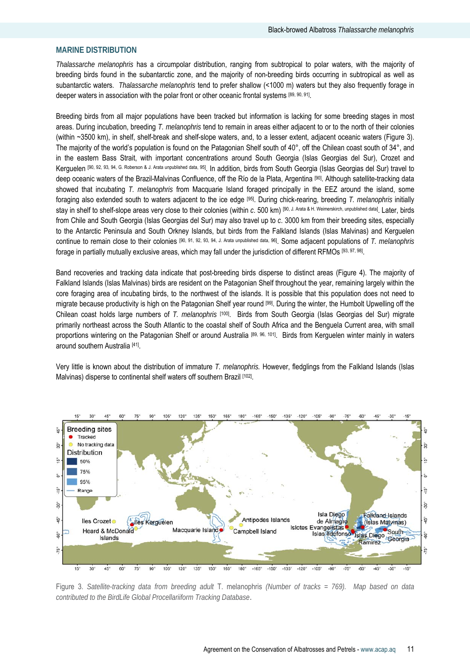# **MARINE DISTRIBUTION**

*Thalassarche melanophris* has a circumpolar distribution, ranging from subtropical to polar waters, with the majority of breeding birds found in the subantarctic zone, and the majority of non-breeding birds occurring in subtropical as well as subantarctic waters. *Thalassarche melanophris* tend to prefer shallow (<1000 m) waters but they also frequently forage in deeper waters in association with the polar front or other oceanic frontal systems [89, 90, 91].

Breeding birds from all major populations have been tracked but information is lacking for some breeding stages in most areas. During incubation, breeding *T. melanophris* tend to remain in areas either adjacent to or to the north of their colonies (within ~3500 km), in shelf, shelf-break and shelf-slope waters, and, to a lesser extent, adjacent oceanic waters (Figure 3). The majority of the world's population is found on the Patagonian Shelf south of  $40^\circ$ , off the Chilean coast south of  $34^\circ$ , and in the eastern Bass Strait, with important concentrations around South Georgia (Islas Georgias del Sur), Crozet and Kerguelen [90, 92, 93, 94, G. Roberson & J. Arata unpublished data, 95]. In addition, birds from South Georgia (Islas Georgias del Sur) travel to deep oceanic waters of the Brazil-Malvinas Confluence, off the Río de la Plata, Argentina [90]. Although satellite-tracking data showed that incubating *T. melanophris* from Macquarie Island foraged principally in the EEZ around the island, some foraging also extended south to waters adjacent to the ice edge [95]. During chick-rearing, breeding *T. melanophris* initially stay in shelf to shelf-slope areas very close to their colonies (within *c*. 500 km) [90, J. Arata & H. Weimerskirch, unpublished data]. Later, birds from Chile and South Georgia (Islas Georgias del Sur) may also travel up to *c*. 3000 km from their breeding sites, especially to the Antarctic Peninsula and South Orkney Islands, but birds from the Falkland Islands (Islas Malvinas) and Kerguelen continue to remain close to their colonies [90, 91, 92, 93, 94, J. Arata unpublished data, 96]. Some adjacent populations of *T. melanophris* forage in partially mutually exclusive areas, which may fall under the jurisdiction of different RFMOs [93, 97, 98].

Band recoveries and tracking data indicate that post-breeding birds disperse to distinct areas (Figure 4). The majority of Falkland Islands (Islas Malvinas) birds are resident on the Patagonian Shelf throughout the year, remaining largely within the core foraging area of incubating birds, to the northwest of the islands. It is possible that this population does not need to migrate because productivity is high on the Patagonian Shelf year round [99]. During the winter, the Humbolt Upwelling off the Chilean coast holds large numbers of *T. melanophris* [100]. Birds from South Georgia (Islas Georgias del Sur) migrate primarily northeast across the South Atlantic to the coastal shelf of South Africa and the Benguela Current area, with small proportions wintering on the Patagonian Shelf or around Australia [89, 96, 101]. Birds from Kerguelen winter mainly in waters around southern Australia [41].

Very little is known about the distribution of immature *T. melanophris.* However, fledglings from the Falkland Islands (Islas Malvinas) disperse to continental shelf waters off southern Brazil [102].



Figure 3. *Satellite-tracking data from breeding adult* T. melanophris *(Number of tracks = 769). Map based on data contributed to the BirdLife Global Procellariiform Tracking Database*.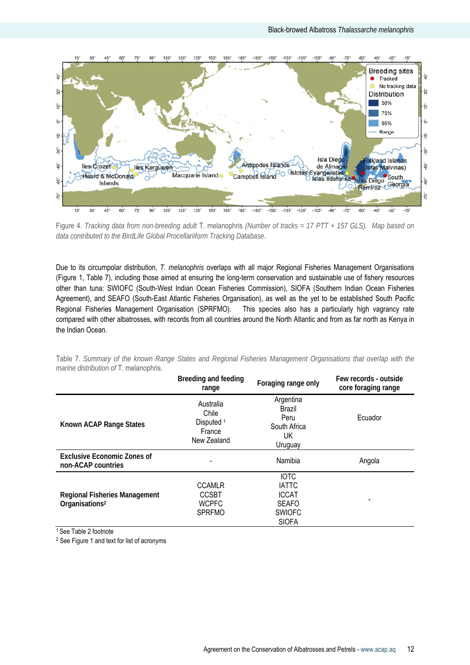

Figure 4. *Tracking data from non-breeding adult* T. melanophris *(Number of tracks = 17 PTT + 157 GLS). Map based on data contributed to the BirdLife Global Procellariiform Tracking Database*.

Due to its circumpolar distribution, *T. melanophris* overlaps with all major Regional Fisheries Management Organisations (Figure 1, Table 7), including those aimed at ensuring the long-term conservation and sustainable use of fishery resources other than tuna: SWIOFC (South-West Indian Ocean Fisheries Commission), SIOFA (Southern Indian Ocean Fisheries Agreement), and SEAFO (South-East Atlantic Fisheries Organisation), as well as the yet to be established South Pacific Regional Fisheries Management Organisation (SPRFMO). This species also has a particularly high vagrancy rate compared with other albatrosses, with records from all countries around the North Atlantic and from as far north as Kenya in the Indian Ocean.

|                                                                    | Breeding and feeding<br>range                                        | Foraging range only                                                                          | Few records - outside<br>core foraging range |
|--------------------------------------------------------------------|----------------------------------------------------------------------|----------------------------------------------------------------------------------------------|----------------------------------------------|
| Known ACAP Range States                                            | Australia<br>Chile<br>Disputed <sup>1</sup><br>France<br>New Zealand | Argentina<br>Brazil<br>Peru<br>South Africa<br>UK<br>Uruguay                                 | Ecuador                                      |
| <b>Exclusive Economic Zones of</b><br>non-ACAP countries           |                                                                      | Namibia                                                                                      | Angola                                       |
| <b>Regional Fisheries Management</b><br>Organisations <sup>2</sup> | <b>CCAMLR</b><br><b>CCSBT</b><br><b>WCPFC</b><br><b>SPRFMO</b>       | <b>IOTC</b><br><b>IATTC</b><br><b>ICCAT</b><br><b>SEAFO</b><br><b>SWIOFC</b><br><b>SIOFA</b> |                                              |

Table 7. *Summary of the known Range States and Regional Fisheries Management Organisations that overlap with the marine distribution of* T. melanophris*.*

<sup>1</sup> See Table 2 footnote

2 See Figure 1 and text for list of acronyms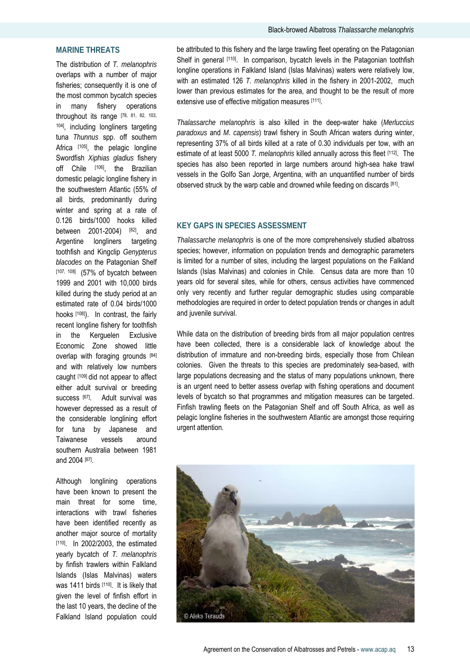# **MARINE THREATS**

The distribution of *T. melanophris*  overlaps with a number of major fisheries; consequently it is one of the most common bycatch species in many fishery operations throughout its range [78, 81, 82, 103, 104], including longliners targeting tuna *Thunnus* spp. off southern Africa [105], the pelagic longline Swordfish *Xiphias gladius* fishery off Chile [106], the Brazilian domestic pelagic longline fishery in the southwestern Atlantic (55% of all birds, predominantly during winter and spring at a rate of 0.126 birds/1000 hooks killed between 2001-2004) [82], and Argentine longliners targeting toothfish and Kingclip *Genypterus blacodes* on the Patagonian Shelf [107, 108] (57% of bycatch between 1999 and 2001 with 10,000 birds killed during the study period at an estimated rate of 0.04 birds/1000 hooks [108]). In contrast, the fairly recent longline fishery for toothfish in the Kerguelen Exclusive Economic Zone showed little overlap with foraging grounds [84] and with relatively low numbers caught [109] did not appear to affect either adult survival or breeding success [67]. Adult survival was however depressed as a result of the considerable longlining effort for tuna by Japanese and Taiwanese vessels around southern Australia between 1981 and 2004 [67].

Although longlining operations have been known to present the main threat for some time, interactions with trawl fisheries have been identified recently as another major source of mortality [110]. In 2002/2003, the estimated yearly bycatch of *T. melanophris* by finfish trawlers within Falkland Islands (Islas Malvinas) waters was 1411 birds [110]. It is likely that given the level of finfish effort in the last 10 years, the decline of the Falkland Island population could

be attributed to this fishery and the large trawling fleet operating on the Patagonian Shelf in general [110]. In comparison, bycatch levels in the Patagonian toothfish longline operations in Falkland Island (Islas Malvinas) waters were relatively low, with an estimated 126 *T. melanophris* killed in the fishery in 2001-2002, much lower than previous estimates for the area, and thought to be the result of more extensive use of effective mitigation measures [111].

*Thalassarche melanophris* is also killed in the deep-water hake (*Merluccius paradoxus* and *M*. *capensis*) trawl fishery in South African waters during winter, representing 37% of all birds killed at a rate of 0.30 individuals per tow, with an estimate of at least 5000 *T. melanophris* killed annually across this fleet [112]. The species has also been reported in large numbers around high-sea hake trawl vessels in the Golfo San Jorge, Argentina, with an unquantified number of birds observed struck by the warp cable and drowned while feeding on discards [81].

# **KEY GAPS IN SPECIES ASSESSMENT**

*Thalassarche melanophris* is one of the more comprehensively studied albatross species; however, information on population trends and demographic parameters is limited for a number of sites, including the largest populations on the Falkland Islands (Islas Malvinas) and colonies in Chile. Census data are more than 10 years old for several sites, while for others, census activities have commenced only very recently and further regular demographic studies using comparable methodologies are required in order to detect population trends or changes in adult and juvenile survival.

While data on the distribution of breeding birds from all major population centres have been collected, there is a considerable lack of knowledge about the distribution of immature and non-breeding birds, especially those from Chilean colonies. Given the threats to this species are predominately sea-based, with large populations decreasing and the status of many populations unknown, there is an urgent need to better assess overlap with fishing operations and document levels of bycatch so that programmes and mitigation measures can be targeted. Finfish trawling fleets on the Patagonian Shelf and off South Africa, as well as pelagic longline fisheries in the southwestern Atlantic are amongst those requiring urgent attention.

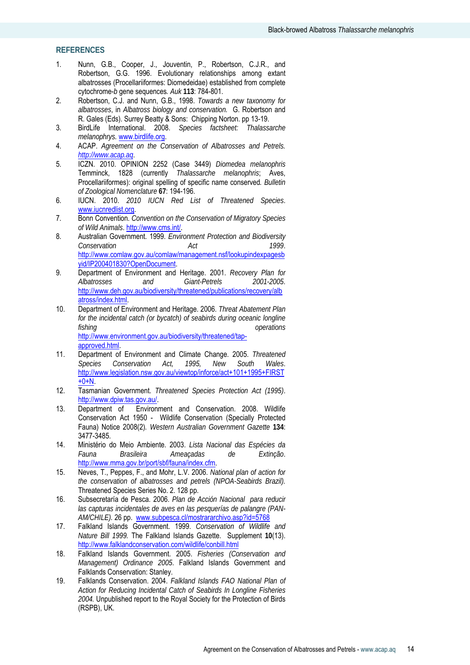# **REFERENCES**

- 1. Nunn, G.B., Cooper, J., Jouventin, P., Robertson, C.J.R., and Robertson, G.G. 1996. Evolutionary relationships among extant albatrosses (Procellariiformes: Diomedeidae) established from complete cytochrome-*b* gene sequences*. Auk* **113**: 784-801.
- 2. Robertson, C.J. and Nunn, G.B., 1998. *Towards a new taxonomy for albatrosses*, in *Albatross biology and conservation.* G. Robertson and R. Gales (Eds). Surrey Beatty & Sons: Chipping Norton. pp 13-19.
- 3. BirdLife International. 2008. *Species factsheet: Thalassarche melanophrys.* www.birdlife.org.
- 4. ACAP. *Agreement on the Conservation of Albatrosses and Petrels. http://www.acap.aq*.
- 5. ICZN. 2010. OPINION 2252 (Case 3449) *Diomedea melanophris* Temminck, 1828 (currently *Thalassarche melanophris*; Aves, Procellariiformes): original spelling of specific name conserved*. Bulletin of Zoological Nomenclature* **67**: 194-196.
- 6. IUCN. 2010. *2010 IUCN Red List of Threatened Species*. www.iucnredlist.org.
- 7. Bonn Convention. *Convention on the Conservation of Migratory Species of Wild Animals*. http://www.cms.int/.
- 8. Australian Government. 1999. *Environment Protection and Biodiversity Conservation Act 1999*. http://www.comlaw.gov.au/comlaw/management.nsf/lookupindexpagesb yid/IP200401830?OpenDocument.
- 9. Department of Environment and Heritage. 2001. *Recovery Plan for Albatrosses and Giant-Petrels 2001-2005*. http://www.deh.gov.au/biodiversity/threatened/publications/recovery/alb atross/index.html.
- 10. Department of Environment and Heritage. 2006. *Threat Abatement Plan for the incidental catch (or bycatch) of seabirds during oceanic longline fishing operations*  http://www.environment.gov.au/biodiversity/threatened/tapapproved.html.
- 11. Department of Environment and Climate Change. 2005. *Threatened Species Conservation Act, 1995, New South Wales*. http://www.legislation.nsw.gov.au/viewtop/inforce/act+101+1995+FIRST  $+0+N$ .
- 12. Tasmanian Government. *Threatened Species Protection Act (1995)*. http://www.dpiw.tas.gov.au/.
- 13. Department of Environment and Conservation. 2008. Wildlife Conservation Act 1950 - Wildlife Conservation (Specially Protected Fauna) Notice 2008(2)*. Western Australian Government Gazette* **134**: 3477-3485.
- 14. Ministério do Meio Ambiente. 2003. *Lista Nacional das Espécies da Fauna Brasileira Ameaçadas de Extinção*. http://www.mma.gov.br/port/sbf/fauna/index.cfm.
- 15. Neves, T., Peppes, F., and Mohr, L.V. 2006. *National plan of action for the conservation of albatrosses and petrels (NPOA-Seabirds Brazil).* Threatened Species Series No. 2. 128 pp.
- 16. Subsecretaría de Pesca. 2006. *Plan de Acción Nacional para reducir las capturas incidentales de aves en las pesquerías de palangre (PAN-AM/CHILE).* 26 pp. www.subpesca.cl/mostrararchivo.asp?id=5768
- 17. Falkland Islands Government. 1999. *Conservation of Wildlife and Nature Bill 1999.* The Falkland Islands Gazette. Supplement **10**(13). http://www.falklandconservation.com/wildlife/conbill.html
- 18. Falkland Islands Government. 2005. *Fisheries (Conservation and Management) Ordinance 2005*. Falkland Islands Government and Falklands Conservation: Stanley.
- 19. Falklands Conservation. 2004. *Falkland Islands FAO National Plan of Action for Reducing Incidental Catch of Seabirds In Longline Fisheries 2004.* Unpublished report to the Royal Society for the Protection of Birds (RSPB), UK.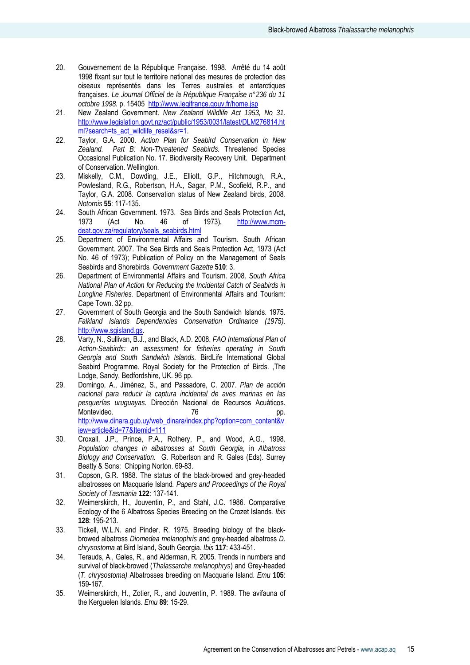- 20. Gouvernement de la République Française. 1998. Arrêté du 14 août 1998 fixant sur tout le territoire national des mesures de protection des oiseaux représentés dans les Terres australes et antarctiques françaises*. Le Journal Officiel de la République Française n°236 du 11 octobre 1998.* p. 15405 http://www.legifrance.gouv.fr/home.jsp
- 21. New Zealand Government. *New Zealand Wildlife Act 1953, No 31*. http://www.legislation.govt.nz/act/public/1953/0031/latest/DLM276814.ht ml?search=ts\_act\_wildlife\_resel&sr=1.
- 22. Taylor, G.A. 2000. *Action Plan for Seabird Conservation in New Zealand. Part B: Non-Threatened Seabirds.* Threatened Species Occasional Publication No. 17. Biodiversity Recovery Unit. Department of Conservation. Wellington.
- 23. Miskelly, C.M., Dowding, J.E., Elliott, G.P., Hitchmough, R.A., Powlesland, R.G., Robertson, H.A., Sagar, P.M., Scofield, R.P., and Taylor, G.A. 2008. Conservation status of New Zealand birds, 2008*. Notornis* **55**: 117-135.
- 24. South African Government. 1973. Sea Birds and Seals Protection Act, 1973 (Act No. 46 of 1973)*.* http://www.mcmdeat.gov.za/regulatory/seals\_seabirds.html
- 25. Department of Environmental Affairs and Tourism. South African Government. 2007. The Sea Birds and Seals Protection Act, 1973 (Act No. 46 of 1973); Publication of Policy on the Management of Seals Seabirds and Shorebirds*. Government Gazette* **510**: 3.
- 26. Department of Environmental Affairs and Tourism. 2008. *South Africa National Plan of Action for Reducing the Incidental Catch of Seabirds in Longline Fisheries.* Department of Environmental Affairs and Tourism: Cape Town. 32 pp.
- 27. Government of South Georgia and the South Sandwich Islands. 1975. *Falkland Islands Dependencies Conservation Ordinance (1975)*. http://www.sgisland.gs.
- 28. Varty, N., Sullivan, B.J., and Black, A.D. 2008. *FAO International Plan of Action-Seabirds: an assessment for fisheries operating in South Georgia and South Sandwich Islands.* BirdLife International Global Seabird Programme. Royal Society for the Protection of Birds. ,The Lodge, Sandy, Bedfordshire, UK. 96 pp.
- 29. Domingo, A., Jiménez, S., and Passadore, C. 2007. *Plan de acción nacional para reducir la captura incidental de aves marinas en las pesquerías uruguayas.* Dirección Nacional de Recursos Acuáticos. Montevideo. 76 pp. http://www.dinara.gub.uy/web\_dinara/index.php?option=com\_content&v iew=article&id=77&Itemid=111
- 30. Croxall, J.P., Prince, P.A., Rothery, P., and Wood, A.G., 1998. *Population changes in albatrosses at South Georgia*, in *Albatross Biology and Conservation.* G. Robertson and R. Gales (Eds). Surrey Beatty & Sons: Chipping Norton. 69-83.
- 31. Copson, G.R. 1988. The status of the black-browed and grey-headed albatrosses on Macquarie Island*. Papers and Proceedings of the Royal Society of Tasmania* **122**: 137-141.
- 32. Weimerskirch, H., Jouventin, P., and Stahl, J.C. 1986. Comparative Ecology of the 6 Albatross Species Breeding on the Crozet Islands*. Ibis* **128**: 195-213.
- 33. Tickell, W.L.N. and Pinder, R. 1975. Breeding biology of the blackbrowed albatross *Diomedea melanophris* and grey-headed albatross *D. chrysostoma* at Bird Island, South Georgia. *Ibis* **117**: 433-451.
- 34. Terauds, A., Gales, R., and Alderman, R. 2005. Trends in numbers and survival of black-browed (*Thalassarche melanophrys*) and Grey-headed (*T. chrysostoma)* Albatrosses breeding on Macquarie Island. *Emu* **105**: 159-167.
- 35. Weimerskirch, H., Zotier, R., and Jouventin, P. 1989. The avifauna of the Kerguelen Islands*. Emu* **89**: 15-29.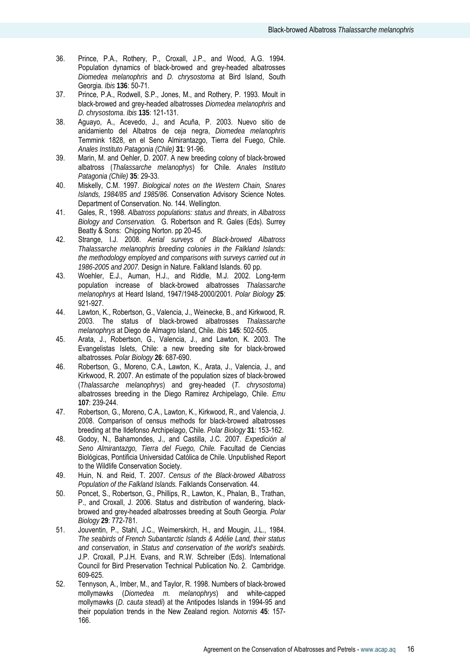- 36. Prince, P.A., Rothery, P., Croxall, J.P., and Wood, A.G. 1994. Population dynamics of black-browed and grey-headed albatrosses *Diomedea melanophris* and *D. chrysostoma* at Bird Island, South Georgia*. Ibis* **136**: 50-71.
- 37. Prince, P.A., Rodwell, S.P., Jones, M., and Rothery, P. 1993. Moult in black-browed and grey-headed albatrosses *Diomedea melanophris* and *D. chrysostoma*. *Ibis* **135**: 121-131.
- 38. Aguayo, A., Acevedo, J., and Acuña, P. 2003. Nuevo sitio de anidamiento del Albatros de ceja negra, *Diomedea melanophris* Temmink 1828, en el Seno Almirantazgo, Tierra del Fuego, Chile. *Anales Instituto Patagonia (Chile)* **31**: 91-96.
- 39. Marin, M. and Oehler, D. 2007. A new breeding colony of black-browed albatross (*Thalassarche melanophys*) for Chile. *Anales Instituto Patagonia (Chile)* **35**: 29-33.
- 40. Miskelly, C.M. 1997. *Biological notes on the Western Chain, Snares Islands, 1984/85 and 1985/86.* Conservation Advisory Science Notes. Department of Conservation. No. 144. Wellington.
- 41. Gales, R., 1998. *Albatross populations: status and threats*, in *Albatross Biology and Conservation.* G. Robertson and R. Gales (Eds). Surrey Beatty & Sons: Chipping Norton. pp 20-45.
- 42. Strange, I.J. 2008. *Aerial surveys of Black-browed Albatross Thalassarche melanophris breeding colonies in the Falkland Islands: the methodology employed and comparisons with surveys carried out in 1986-2005 and 2007.* Design in Nature. Falkland Islands. 60 pp.
- 43. Woehler, E.J., Auman, H.J., and Riddle, M.J. 2002. Long-term population increase of black-browed albatrosses *Thalassarche melanophrys* at Heard Island, 1947/1948-2000/2001*. Polar Biology* **25**: 921-927.
- 44. Lawton, K., Robertson, G., Valencia, J., Weinecke, B., and Kirkwood, R. 2003. The status of black-browed albatrosses *Thalassarche melanophrys* at Diego de Almagro Island, Chile*. Ibis* **145**: 502-505.
- 45. Arata, J., Robertson, G., Valencia, J., and Lawton, K. 2003. The Evangelistas Islets, Chile: a new breeding site for black-browed albatrosses*. Polar Biology* **26**: 687-690.
- 46. Robertson, G., Moreno, C.A., Lawton, K., Arata, J., Valencia, J., and Kirkwood, R. 2007. An estimate of the population sizes of black-browed (*Thalassarche melanophrys*) and grey-headed (*T. chrysostoma*) albatrosses breeding in the Diego Ramirez Archipelago, Chile. *Emu* **107**: 239-244.
- 47. Robertson, G., Moreno, C.A., Lawton, K., Kirkwood, R., and Valencia, J. 2008. Comparison of census methods for black-browed albatrosses breeding at the Ildefonso Archipelago, Chile*. Polar Biology* **31**: 153-162.
- 48. Godoy, N., Bahamondes, J., and Castilla, J.C. 2007. *Expedición al Seno Almirantazgo, Tierra del Fuego, Chile.* Facultad de Ciencias Biológicas, Pontificia Universidad Católica de Chile. Unpublished Report to the Wildlife Conservation Society.
- 49. Huin, N. and Reid, T. 2007. *Census of the Black-browed Albatross Population of the Falkland Islands.* Falklands Conservation. 44.
- 50. Poncet, S., Robertson, G., Phillips, R., Lawton, K., Phalan, B., Trathan, P., and Croxall, J. 2006. Status and distribution of wandering, blackbrowed and grey-headed albatrosses breeding at South Georgia*. Polar Biology* **29**: 772-781.
- 51. Jouventin, P., Stahl, J.C., Weimerskirch, H., and Mougin, J.L., 1984. *The seabirds of French Subantarctic Islands & Adélie Land, their status and conservation*, in *Status and conservation of the world's seabirds.* J.P. Croxall, P.J.H. Evans, and R.W. Schreiber (Eds). International Council for Bird Preservation Technical Publication No. 2. Cambridge. 609-625.
- 52. Tennyson, A., Imber, M., and Taylor, R. 1998. Numbers of black-browed mollymawks (*Diomedea m. melanophrys*) and white-capped mollymawks (*D. cauta steadi*) at the Antipodes Islands in 1994-95 and their population trends in the New Zealand region*. Notornis* **45**: 157- 166.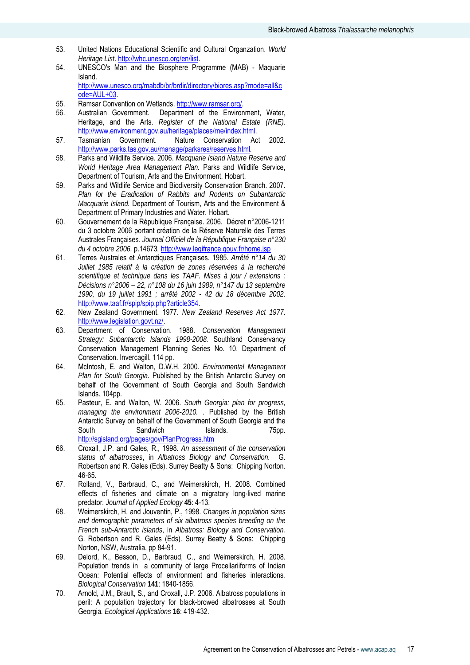- 53. United Nations Educational Scientific and Cultural Organzation. *World Heritage List*. http://whc.unesco.org/en/list.
- 54. UNESCO's Man and the Biosphere Programme (MAB) Maquarie Island. http://www.unesco.org/mabdb/br/brdir/directory/biores.asp?mode=all&c ode=AUL+03.
- 55. Ramsar Convention on Wetlands. http://www.ramsar.org/.
- 56. Australian Government. Department of the Environment, Water, Heritage, and the Arts. *Register of the National Estate (RNE)*. http://www.environment.gov.au/heritage/places/rne/index.html.
- 57. Tasmanian Government. Nature Conservation Act 2002. http://www.parks.tas.gov.au/manage/parksres/reserves.html*.*
- 58. Parks and Wildlife Service. 2006. *Macquarie Island Nature Reserve and World Heritage Area Management Plan.* Parks and Wildlife Service, Department of Tourism, Arts and the Environment. Hobart.
- 59. Parks and Wildlife Service and Biodiversity Conservation Branch. 2007. *Plan for the Eradication of Rabbits and Rodents on Subantarctic Macquarie Island.* Department of Tourism, Arts and the Environment & Department of Primary Industries and Water. Hobart.
- 60. Gouvernement de la République Française. 2006. Décret n°2006-1211 du 3 octobre 2006 portant création de la Réserve Naturelle des Terres Australes Françaises*. Journal Officiel de la République Française n°230 du 4 octobre 2006.* p.14673*.* http://www.legifrance.gouv.fr/home.jsp
- 61. Terres Australes et Antarctiques Françaises. 1985. *Arrêté n°14 du 30 Juillet 1985 relatif à la création de zones réservées à la recherché scientifique et technique dans les TAAF. Mises à jour / extensions : Décisions n°2006 – 22, n°108 du 16 juin 1989, n°147 du 13 septembre 1990, du 19 juillet 1991 ; arrêté 2002 - 42 du 18 décembre 2002*. http://www.taaf.fr/spip/spip.php?article354.
- 62. New Zealand Government. 1977. *New Zealand Reserves Act 1977*. http://www.legislation.govt.nz/.
- 63. Department of Conservation. 1988. *Conservation Management Strategy: Subantarctic Islands 1998-2008.* Southland Conservancy Conservation Management Planning Series No. 10. Department of Conservation. Invercagill. 114 pp.
- 64. McIntosh, E. and Walton, D.W.H. 2000. *Environmental Management Plan for South Georgia.* Published by the British Antarctic Survey on behalf of the Government of South Georgia and South Sandwich Islands. 104pp.
- 65. Pasteur, E. and Walton, W. 2006. *South Georgia: plan for progress, managing the environment 2006-2010.* . Published by the British Antarctic Survey on behalf of the Government of South Georgia and the South Sandwich Islands. 75pp. http://sgisland.org/pages/gov/PlanProgress.htm
- 66. Croxall, J.P. and Gales, R., 1998. *An assessment of the conservation status of albatrosses*, in *Albatross Biology and Conservation.* G. Robertson and R. Gales (Eds). Surrey Beatty & Sons: Chipping Norton. 46-65.
- 67. Rolland, V., Barbraud, C., and Weimerskirch, H. 2008. Combined effects of fisheries and climate on a migratory long-lived marine predator*. Journal of Applied Ecology* **45**: 4-13.
- 68. Weimerskirch, H. and Jouventin, P., 1998. *Changes in population sizes and demographic parameters of six albatross species breeding on the French sub-Antarctic islands*, in *Albatross: Biology and Conservation.* G. Robertson and R. Gales (Eds). Surrey Beatty & Sons: Chipping Norton, NSW, Australia. pp 84-91.
- 69. Delord, K., Besson, D., Barbraud, C., and Weimerskirch, H. 2008. Population trends in a community of large Procellariiforms of Indian Ocean: Potential effects of environment and fisheries interactions*. Biological Conservation* **141**: 1840-1856.
- 70. Arnold, J.M., Brault, S., and Croxall, J.P. 2006. Albatross populations in peril: A population trajectory for black-browed albatrosses at South Georgia*. Ecological Applications* **16**: 419-432.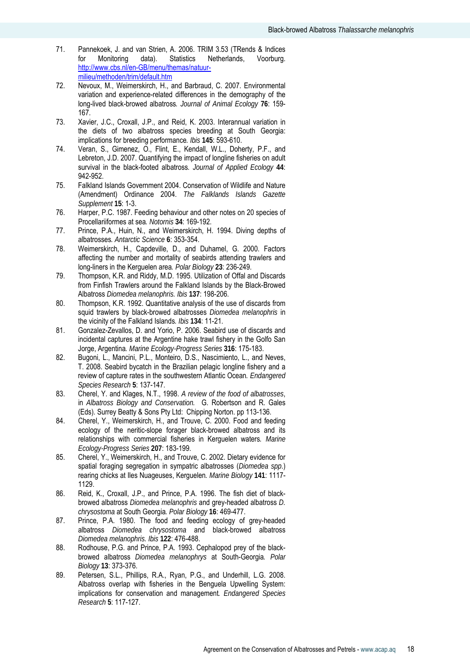- 71. Pannekoek, J. and van Strien, A. 2006. TRIM 3.53 (TRends & Indices for Monitoring data). Statistics Netherlands, Voorburg. http://www.cbs.nl/en-GB/menu/themas/natuurmilieu/methoden/trim/default.htm
- 72. Nevoux, M., Weimerskirch, H., and Barbraud, C. 2007. Environmental variation and experience-related differences in the demography of the long-lived black-browed albatross*. Journal of Animal Ecology* **76**: 159- 167.
- 73. Xavier, J.C., Croxall, J.P., and Reid, K. 2003. Interannual variation in the diets of two albatross species breeding at South Georgia: implications for breeding performance*. Ibis* **145**: 593-610.
- 74. Veran, S., Gimenez, O., Flint, E., Kendall, W.L., Doherty, P.F., and Lebreton, J.D. 2007. Quantifying the impact of longline fisheries on adult survival in the black-footed albatross*. Journal of Applied Ecology* **44**: 942-952.
- 75. Falkland Islands Government 2004. Conservation of Wildlife and Nature (Amendment) Ordinance 2004. *The Falklands Islands Gazette Supplement* **15**: 1-3.
- 76. Harper, P.C. 1987. Feeding behaviour and other notes on 20 species of Procellariiformes at sea*. Notornis* **34**: 169-192.
- 77. Prince, P.A., Huin, N., and Weimerskirch, H. 1994. Diving depths of albatrosses*. Antarctic Science* **6**: 353-354.
- 78. Weimerskirch, H., Capdeville, D., and Duhamel, G. 2000. Factors affecting the number and mortality of seabirds attending trawlers and long-liners in the Kerguelen area*. Polar Biology* **23**: 236-249.
- 79. Thompson, K.R. and Riddy, M.D. 1995. Utilization of Offal and Discards from Finfish Trawlers around the Falkland Islands by the Black-Browed Albatross *Diomedea melanophris. Ibis* **137**: 198-206.
- 80. Thompson, K.R. 1992. Quantitative analysis of the use of discards from squid trawlers by black-browed albatrosses *Diomedea melanophris* in the vicinity of the Falkland Islands*. Ibis* **134**: 11-21.
- 81. Gonzalez-Zevallos, D. and Yorio, P. 2006. Seabird use of discards and incidental captures at the Argentine hake trawl fishery in the Golfo San Jorge, Argentina*. Marine Ecology-Progress Series* **316**: 175-183.
- 82. Bugoni, L., Mancini, P.L., Monteiro, D.S., Nascimiento, L., and Neves, T. 2008. Seabird bycatch in the Brazilian pelagic longline fishery and a review of capture rates in the southwestern Atlantic Ocean*. Endangered Species Research* **5**: 137-147.
- 83. Cherel, Y. and Klages, N.T., 1998. *A review of the food of albatrosses*, in *Albatross Biology and Conservation.* G. Robertson and R. Gales (Eds). Surrey Beatty & Sons Pty Ltd: Chipping Norton. pp 113-136.
- 84. Cherel, Y., Weimerskirch, H., and Trouve, C. 2000. Food and feeding ecology of the neritic-slope forager black-browed albatross and its relationships with commercial fisheries in Kerguelen waters*. Marine Ecology-Progress Series* **207**: 183-199.
- 85. Cherel, Y., Weimerskirch, H., and Trouve, C. 2002. Dietary evidence for spatial foraging segregation in sympatric albatrosses (*Diomedea spp*.) rearing chicks at Iles Nuageuses, Kerguelen*. Marine Biology* **141**: 1117- 1129.
- 86. Reid, K., Croxall, J.P., and Prince, P.A. 1996. The fish diet of blackbrowed albatross *Diomedea melanophris* and grey-headed albatross *D. chrysostoma* at South Georgia*. Polar Biology* **16**: 469-477.
- 87. Prince, P.A. 1980. The food and feeding ecology of grey-headed albatross *Diomedea chrysostoma* and black-browed albatross *Diomedea melanophris. Ibis* **122**: 476-488.
- 88. Rodhouse, P.G. and Prince, P.A. 1993. Cephalopod prey of the blackbrowed albatross *Diomedea melanophrys* at South-Georgia*. Polar Biology* **13**: 373-376.
- 89. Petersen, S.L., Phillips, R.A., Ryan, P.G., and Underhill, L.G. 2008. Albatross overlap with fisheries in the Benguela Upwelling System: implications for conservation and management*. Endangered Species Research* **5**: 117-127.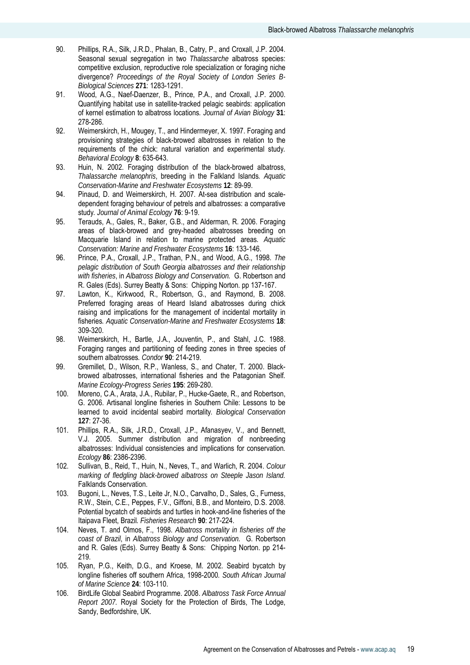- 90. Phillips, R.A., Silk, J.R.D., Phalan, B., Catry, P., and Croxall, J.P. 2004. Seasonal sexual segregation in two *Thalassarche* albatross species: competitive exclusion, reproductive role specialization or foraging niche divergence? *Proceedings of the Royal Society of London Series B-Biological Sciences* **271**: 1283-1291.
- 91. Wood, A.G., Naef-Daenzer, B., Prince, P.A., and Croxall, J.P. 2000. Quantifying habitat use in satellite-tracked pelagic seabirds: application of kernel estimation to albatross locations*. Journal of Avian Biology* **31**: 278-286.
- 92. Weimerskirch, H., Mougey, T., and Hindermeyer, X. 1997. Foraging and provisioning strategies of black-browed albatrosses in relation to the requirements of the chick: natural variation and experimental study*. Behavioral Ecology* **8**: 635-643.
- 93. Huin, N. 2002. Foraging distribution of the black-browed albatross, *Thalassarche melanophris*, breeding in the Falkland Islands*. Aquatic Conservation-Marine and Freshwater Ecosystems* **12**: 89-99.
- 94. Pinaud, D. and Weimerskirch, H. 2007. At-sea distribution and scaledependent foraging behaviour of petrels and albatrosses: a comparative study*. Journal of Animal Ecology* **76**: 9-19.
- 95. Terauds, A., Gales, R., Baker, G.B., and Alderman, R. 2006. Foraging areas of black-browed and grey-headed albatrosses breeding on Macquarie Island in relation to marine protected areas*. Aquatic Conservation: Marine and Freshwater Ecosystems* **16**: 133-146.
- 96. Prince, P.A., Croxall, J.P., Trathan, P.N., and Wood, A.G., 1998. *The pelagic distribution of South Georgia albatrosses and their relationship with fisheries*, in *Albatross Biology and Conservation.* G. Robertson and R. Gales (Eds). Surrey Beatty & Sons: Chipping Norton. pp 137-167.
- 97. Lawton, K., Kirkwood, R., Robertson, G., and Raymond, B. 2008. Preferred foraging areas of Heard Island albatrosses during chick raising and implications for the management of incidental mortality in fisheries*. Aquatic Conservation-Marine and Freshwater Ecosystems* **18**: 309-320.
- 98. Weimerskirch, H., Bartle, J.A., Jouventin, P., and Stahl, J.C. 1988. Foraging ranges and partitioning of feeding zones in three species of southern albatrosses*. Condor* **90**: 214-219.
- 99. Gremillet, D., Wilson, R.P., Wanless, S., and Chater, T. 2000. Blackbrowed albatrosses, international fisheries and the Patagonian Shelf*. Marine Ecology-Progress Series* **195**: 269-280.
- 100. Moreno, C.A., Arata, J.A., Rubilar, P., Hucke-Gaete, R., and Robertson, G. 2006. Artisanal longline fisheries in Southern Chile: Lessons to be learned to avoid incidental seabird mortality*. Biological Conservation* **127**: 27-36.
- 101. Phillips, R.A., Silk, J.R.D., Croxall, J.P., Afanasyev, V., and Bennett, V.J. 2005. Summer distribution and migration of nonbreeding albatrosses: Individual consistencies and implications for conservation*. Ecology* **86**: 2386-2396.
- 102. Sullivan, B., Reid, T., Huin, N., Neves, T., and Warlich, R. 2004. *Colour marking of fledgling black-browed albatross on Steeple Jason Island.* Falklands Conservation.
- 103. Bugoni, L., Neves, T.S., Leite Jr, N.O., Carvalho, D., Sales, G., Furness, R.W., Stein, C.E., Peppes, F.V., Giffoni, B.B., and Monteiro, D.S. 2008. Potential bycatch of seabirds and turtles in hook-and-line fisheries of the Itaipava Fleet, Brazil*. Fisheries Research* **90**: 217-224.
- 104. Neves, T. and Olmos, F., 1998. *Albatross mortality in fisheries off the coast of Brazil*, in *Albatross Biology and Conservation.* G. Robertson and R. Gales (Eds). Surrey Beatty & Sons: Chipping Norton. pp 214- 219.
- 105. Ryan, P.G., Keith, D.G., and Kroese, M. 2002. Seabird bycatch by longline fisheries off southern Africa, 1998-2000*. South African Journal of Marine Science* **24**: 103-110.
- 106. BirdLife Global Seabird Programme. 2008. *Albatross Task Force Annual Report 2007.* Royal Society for the Protection of Birds, The Lodge, Sandy, Bedfordshire, UK.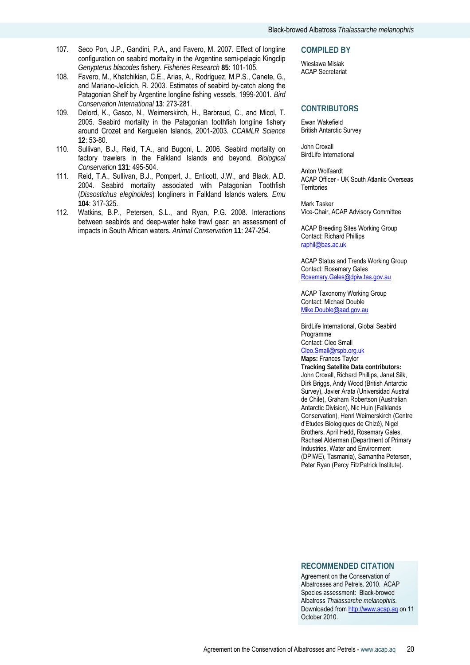- 107. Seco Pon, J.P., Gandini, P.A., and Favero, M. 2007. Effect of longline configuration on seabird mortality in the Argentine semi-pelagic Kingclip *Genypterus blacodes* fishery*. Fisheries Research* **85**: 101-105.
- 108. Favero, M., Khatchikian, C.E., Arias, A., Rodriguez, M.P.S., Canete, G., and Mariano-Jelicich, R. 2003. Estimates of seabird by-catch along the Patagonian Shelf by Argentine longline fishing vessels, 1999-2001*. Bird Conservation International* **13**: 273-281.
- 109. Delord, K., Gasco, N., Weimerskirch, H., Barbraud, C., and Micol, T. 2005. Seabird mortality in the Patagonian toothfish longline fishery around Crozet and Kerguelen Islands, 2001-2003*. CCAMLR Science* **12**: 53-80.
- 110. Sullivan, B.J., Reid, T.A., and Bugoni, L. 2006. Seabird mortality on factory trawlers in the Falkland Islands and beyond*. Biological Conservation* **131**: 495-504.
- 111. Reid, T.A., Sullivan, B.J., Pompert, J., Enticott, J.W., and Black, A.D. 2004. Seabird mortality associated with Patagonian Toothfish (*Dissostichus eleginoides*) longliners in Falkland Islands waters*. Emu* **104**: 317-325.
- 112. Watkins, B.P., Petersen, S.L., and Ryan, P.G. 2008. Interactions between seabirds and deep-water hake trawl gear: an assessment of impacts in South African waters*. Animal Conservation* **11**: 247-254.

#### **COMPILED BY**

Wiesława Misiak ACAP Secretariat

#### **CONTRIBUTORS**

Ewan Wakefield British Antarctic Survey

John Croxall BirdLife International

Anton Wolfaardt ACAP Officer - UK South Atlantic Overseas **Territories** 

Mark Tasker Vice-Chair, ACAP Advisory Committee

ACAP Breeding Sites Working Group Contact: Richard Phillips raphil@bas.ac.uk

ACAP Status and Trends Working Group Contact: Rosemary Gales Rosemary.Gales@dpiw.tas.gov.au

ACAP Taxonomy Working Group Contact: Michael Double Mike.Double@aad.gov.au

BirdLife International, Global Seabird Programme Contact: Cleo Small

Cleo.Small@rspb.org.uk **Maps:** Frances Taylor

**Tracking Satellite Data contributors:** John Croxall, Richard Phillips, Janet Silk, Dirk Briggs, Andy Wood (British Antarctic Survey), Javier Arata (Universidad Austral de Chile), Graham Robertson (Australian Antarctic Division), Nic Huin (Falklands Conservation), Henri Weimerskirch (Centre d'Etudes Biologiques de Chizé), Nigel Brothers, April Hedd, Rosemary Gales, Rachael Alderman (Department of Primary Industries, Water and Environment (DPIWE), Tasmania), Samantha Petersen, Peter Ryan (Percy FitzPatrick Institute).

# **RECOMMENDED CITATION**

Agreement on the Conservation of Albatrosses and Petrels. 2010. ACAP Species assessment: Black-browed Albatross *Thalassarche melanophris.* Downloaded from http://www.acap.aq on 11 October 2010.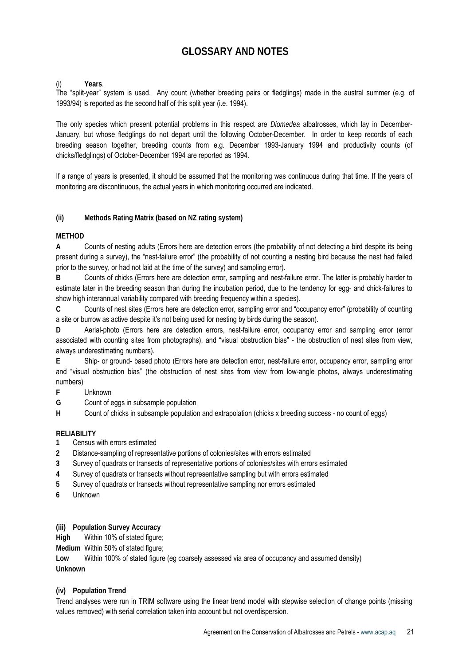# **GLOSSARY AND NOTES**

(i) **Years**.

The "split-year" system is used. Any count (whether breeding pairs or fledglings) made in the austral summer (e.g. of 1993/94) is reported as the second half of this split year (i.e. 1994).

The only species which present potential problems in this respect are *Diomedea* albatrosses, which lay in December-January, but whose fledglings do not depart until the following October-December. In order to keep records of each breeding season together, breeding counts from e.g. December 1993-January 1994 and productivity counts (of chicks/fledglings) of October-December 1994 are reported as 1994.

If a range of years is presented, it should be assumed that the monitoring was continuous during that time. If the years of monitoring are discontinuous, the actual years in which monitoring occurred are indicated.

**(ii) Methods Rating Matrix (based on NZ rating system)** 

# **METHOD**

**A** Counts of nesting adults (Errors here are detection errors (the probability of not detecting a bird despite its being present during a survey), the "nest-failure error" (the probability of not counting a nesting bird because the nest had failed prior to the survey, or had not laid at the time of the survey) and sampling error).

**B** Counts of chicks (Errors here are detection error, sampling and nest-failure error. The latter is probably harder to estimate later in the breeding season than during the incubation period, due to the tendency for egg- and chick-failures to show high interannual variability compared with breeding frequency within a species).

**C** Counts of nest sites (Errors here are detection error, sampling error and "occupancy error" (probability of counting a site or burrow as active despite it's not being used for nesting by birds during the season).

**D** Aerial-photo (Errors here are detection errors, nest-failure error, occupancy error and sampling error (error associated with counting sites from photographs), and "visual obstruction bias" - the obstruction of nest sites from view, always underestimating numbers).

**E** Ship- or ground- based photo (Errors here are detection error, nest-failure error, occupancy error, sampling error and "visual obstruction bias" (the obstruction of nest sites from view from low-angle photos, always underestimating numbers)

**F** Unknown

**G** Count of eggs in subsample population

**H** Count of chicks in subsample population and extrapolation (chicks x breeding success - no count of eggs)

# **RELIABILITY**

- **1** Census with errors estimated
- **2** Distance-sampling of representative portions of colonies/sites with errors estimated
- **3** Survey of quadrats or transects of representative portions of colonies/sites with errors estimated
- **4** Survey of quadrats or transects without representative sampling but with errors estimated
- **5** Survey of quadrats or transects without representative sampling nor errors estimated
- **6** Unknown

**(iii) Population Survey Accuracy** 

**High** Within 10% of stated figure;

**Medium** Within 50% of stated figure;

**Low** Within 100% of stated figure (eg coarsely assessed via area of occupancy and assumed density) **Unknown** 

# **(iv) Population Trend**

Trend analyses were run in TRIM software using the linear trend model with stepwise selection of change points (missing values removed) with serial correlation taken into account but not overdispersion.